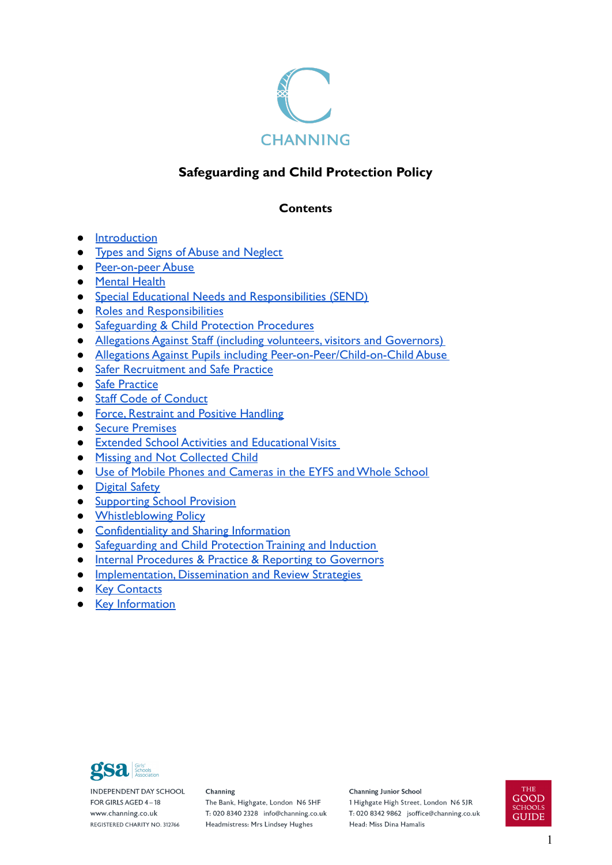

# **Safeguarding and Child Protection Policy**

# **Contents**

- [Introduction](#page-1-0)
- [Types and Signs of Abuse and Neglect](#page-5-0)
- [Peer-on-peer Abuse](#page-10-0)
- [Mental Health](#page-13-0)
- [Special Educational Needs and Responsibilities \(SEND\)](#page-13-1)
- [Roles and Responsibilities](#page-13-2)
- Safeguarding & [Child Protection Procedures](#page-16-0)
- [Allegations Against Staff \(including volunteers, visitors and Governors\)](#page-18-0)
- [Allegations Against Pupils including Peer-on-Peer/Child-on-Child Abuse](#page-21-0)
- [Safer Recruitment and Safe Practice](#page-22-0)
- [Safe Practice](#page-23-0)
- [Staff Code of Conduct](#page-24-0)
- [Force, Restraint and Positive Handling](#page-24-1)
- [Secure Premises](#page-25-0)
- [Extended School Activities and Educational Visits](#page-25-1)
- [Missing and Not Collected Child](#page-25-2)
- [Use of Mobile Phones and Cameras in the EYFS and Whole School](#page-27-0)
- [Digital Safety](#page-27-1)
- [Supporting School Provision](#page-28-0)
- [Whistleblowing Policy](#page-29-0)
- [Confidentiality and Sharing Information](#page-30-0)
- [Safeguarding and Child Protection Training and Induction](#page-30-1)
- [Internal Procedures & Practice & Reporting to Governors](#page-31-0)
- **[Implementation, Dissemination and Review Strategies](#page-32-0)**
- [Key Contacts](#page-32-1)
- [Key Information](#page-34-0)



**INDEPENDENT DAY SCHOOL** FOR GIRLS AGED 4-18 www.channing.co.uk REGISTERED CHARITY NO. 312766

#### Channing

The Bank, Highgate, London N6 5HF T: 020 8340 2328 info@channing.co.uk Headmistress: Mrs Lindsey Hughes

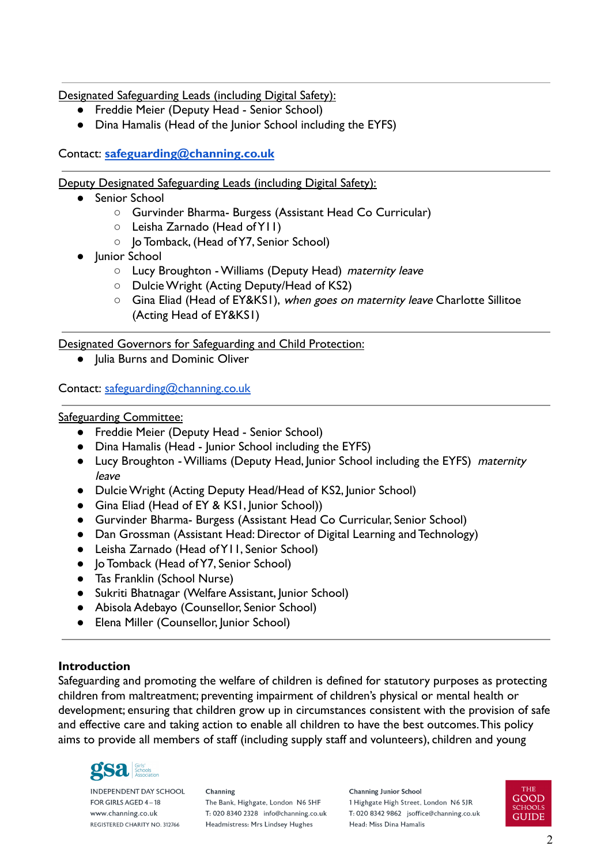Designated Safeguarding Leads (including Digital Safety):

- Freddie Meier (Deputy Head Senior School)
- Dina Hamalis (Head of the Junior School including the EYFS)

### Contact: **[safeguarding@channing.co.uk](mailto:safeguarding@channing.co.uk)**

Deputy Designated Safeguarding Leads (including Digital Safety):

- Senior School
	- Gurvinder Bharma- Burgess (Assistant Head Co Curricular)
	- Leisha Zarnado (Head of Y11)
	- **Jo Tomback, (Head of Y7, Senior School)**
- Junior School
	- Lucy Broughton Williams (Deputy Head) maternity leave
	- Dulcie Wright (Acting Deputy/Head of KS2)
	- Gina Eliad (Head of EY&KSI), when goes on maternity leave Charlotte Sillitoe (Acting Head of EY&KS1)

Designated Governors for Safeguarding and Child Protection:

● Julia Burns and Dominic Oliver

Contact: [safeguarding@channing.co.uk](mailto:safeguarding@channing.co.uk)

Safeguarding Committee:

- Freddie Meier (Deputy Head Senior School)
- Dina Hamalis (Head Junior School including the EYFS)
- Lucy Broughton Williams (Deputy Head, Junior School including the EYFS) maternity leave
- Dulcie Wright (Acting Deputy Head/Head of KS2, Junior School)
- Gina Eliad (Head of EY & KS1, Junior School))
- Gurvinder Bharma- Burgess (Assistant Head Co Curricular, Senior School)
- Dan Grossman (Assistant Head: Director of Digital Learning and Technology)
- Leisha Zarnado (Head of Y11, Senior School)
- Jo Tomback (Head of Y7, Senior School)
- Tas Franklin (School Nurse)
- Sukriti Bhatnagar (Welfare Assistant, Junior School)
- Abisola Adebayo (Counsellor, Senior School)
- Elena Miller (Counsellor, Junior School)

#### <span id="page-1-0"></span>**Introduction**

Safeguarding and promoting the welfare of children is defined for statutory purposes as protecting children from maltreatment; preventing impairment of children's physical or mental health or development; ensuring that children grow up in circumstances consistent with the provision of safe and effective care and taking action to enable all children to have the best outcomes.This policy aims to provide all members of staff (including supply staff and volunteers), children and young



**INDEPENDENT DAY SCHOOL** FOR GIRLS AGED 4-18 www.channing.co.uk REGISTERED CHARITY NO. 312766

Channing The Bank, Highgate, London N6 5HF T: 020 8340 2328 info@channing.co.uk Headmistress: Mrs Lindsey Hughes

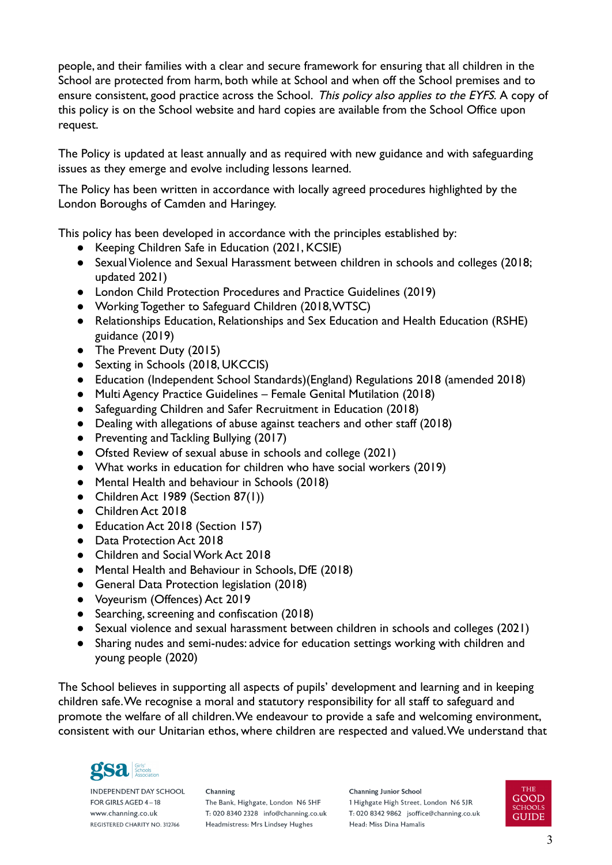people, and their families with a clear and secure framework for ensuring that all children in the School are protected from harm, both while at School and when off the School premises and to ensure consistent, good practice across the School. This policy also applies to the EYFS. A copy of this policy is on the School website and hard copies are available from the School Office upon request.

The Policy is updated at least annually and as required with new guidance and with safeguarding issues as they emerge and evolve including lessons learned.

The Policy has been written in accordance with locally agreed procedures highlighted by the London Boroughs of Camden and Haringey.

This policy has been developed in accordance with the principles established by:

- Keeping Children Safe in Education (2021, KCSIE)
- Sexual Violence and Sexual Harassment between children in schools and colleges (2018; updated 2021)
- London Child Protection Procedures and Practice Guidelines (2019)
- Working Together to Safeguard Children (2018,WTSC)
- Relationships Education, Relationships and Sex Education and Health Education (RSHE) guidance (2019)
- The Prevent Duty (2015)
- Sexting in Schools (2018, UKCCIS)
- Education (Independent School Standards)(England) Regulations 2018 (amended 2018)
- Multi Agency Practice Guidelines Female Genital Mutilation (2018)
- Safeguarding Children and Safer Recruitment in Education (2018)
- Dealing with allegations of abuse against teachers and other staff (2018)
- Preventing and Tackling Bullying (2017)
- Ofsted Review of sexual abuse in schools and college (2021)
- What works in education for children who have social workers (2019)
- Mental Health and behaviour in Schools (2018)
- Children Act 1989 (Section 87(1))
- Children Act 2018
- Education Act 2018 (Section 157)
- Data Protection Act 2018
- Children and Social Work Act 2018
- Mental Health and Behaviour in Schools, DfE (2018)
- General Data Protection legislation (2018)
- Voyeurism (Offences) Act 2019
- Searching, screening and confiscation (2018)
- Sexual violence and sexual harassment between children in schools and colleges (2021)
- Sharing nudes and semi-nudes: advice for education settings working with children and young people (2020)

The School believes in supporting all aspects of pupils' development and learning and in keeping children safe.We recognise a moral and statutory responsibility for all staff to safeguard and promote the welfare of all children.We endeavour to provide a safe and welcoming environment, consistent with our Unitarian ethos, where children are respected and valued.We understand that



**INDEPENDENT DAY SCHOOL** FOR GIRLS AGED 4-18 www.channing.co.uk REGISTERED CHARITY NO. 312766

Channing The Bank, Highgate, London N6 5HF T: 020 8340 2328 info@channing.co.uk Headmistress: Mrs Lindsey Hughes

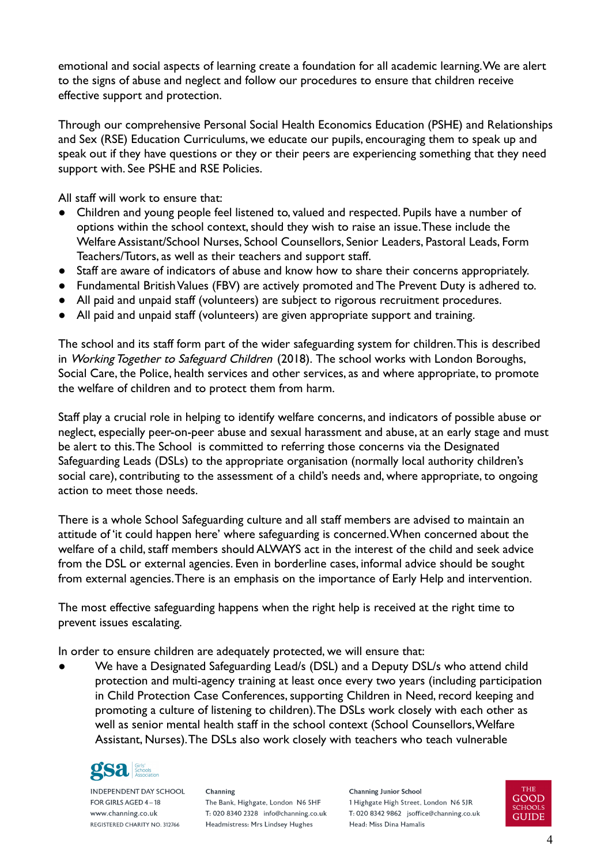emotional and social aspects of learning create a foundation for all academic learning.We are alert to the signs of abuse and neglect and follow our procedures to ensure that children receive effective support and protection.

Through our comprehensive Personal Social Health Economics Education (PSHE) and Relationships and Sex (RSE) Education Curriculums, we educate our pupils, encouraging them to speak up and speak out if they have questions or they or their peers are experiencing something that they need support with. See PSHE and RSE Policies.

All staff will work to ensure that:

- Children and young people feel listened to, valued and respected. Pupils have a number of options within the school context, should they wish to raise an issue.These include the Welfare Assistant/School Nurses, School Counsellors, Senior Leaders, Pastoral Leads, Form Teachers/Tutors, as well as their teachers and support staff.
- Staff are aware of indicators of abuse and know how to share their concerns appropriately.
- Fundamental British Values (FBV) are actively promoted and The Prevent Duty is adhered to.
- All paid and unpaid staff (volunteers) are subject to rigorous recruitment procedures.
- All paid and unpaid staff (volunteers) are given appropriate support and training.

The school and its staff form part of the wider safeguarding system for children.This is described in Working Together to Safeguard Children (2018). The school works with London Boroughs, Social Care, the Police, health services and other services, as and where appropriate, to promote the welfare of children and to protect them from harm.

Staff play a crucial role in helping to identify welfare concerns, and indicators of possible abuse or neglect, especially peer-on-peer abuse and sexual harassment and abuse, at an early stage and must be alert to this.The School is committed to referring those concerns via the Designated Safeguarding Leads (DSLs) to the appropriate organisation (normally local authority children's social care), contributing to the assessment of a child's needs and, where appropriate, to ongoing action to meet those needs.

There is a whole School Safeguarding culture and all staff members are advised to maintain an attitude of 'it could happen here' where safeguarding is concerned.When concerned about the welfare of a child, staff members should ALWAYS act in the interest of the child and seek advice from the DSL or external agencies. Even in borderline cases, informal advice should be sought from external agencies.There is an emphasis on the importance of Early Help and intervention.

The most effective safeguarding happens when the right help is received at the right time to prevent issues escalating.

In order to ensure children are adequately protected, we will ensure that:

We have a Designated Safeguarding Lead/s (DSL) and a Deputy DSL/s who attend child protection and multi-agency training at least once every two years (including participation in Child Protection Case Conferences, supporting Children in Need, record keeping and promoting a culture of listening to children).The DSLs work closely with each other as well as senior mental health staff in the school context (School Counsellors, Welfare Assistant, Nurses).The DSLs also work closely with teachers who teach vulnerable



**INDEPENDENT DAY SCHOOL** FOR GIRLS AGED 4-18 www.channing.co.uk REGISTERED CHARITY NO. 312766

Channing The Bank, Highgate, London N6 5HF T: 020 8340 2328 info@channing.co.uk Headmistress: Mrs Lindsey Hughes

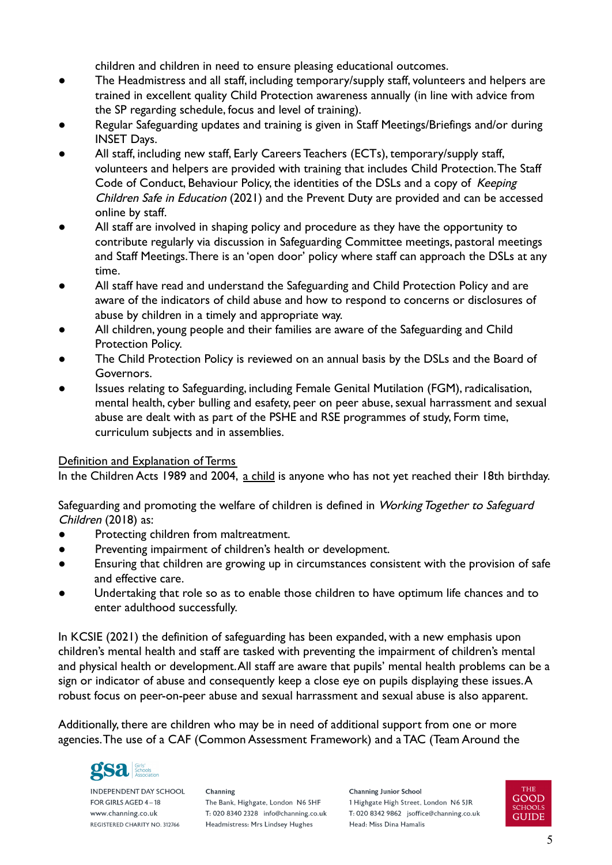children and children in need to ensure pleasing educational outcomes.

- The Headmistress and all staff, including temporary/supply staff, volunteers and helpers are trained in excellent quality Child Protection awareness annually (in line with advice from the SP regarding schedule, focus and level of training).
- Regular Safeguarding updates and training is given in Staff Meetings/Briefings and/or during INSET Days.
- All staff, including new staff, Early Careers Teachers (ECTs), temporary/supply staff, volunteers and helpers are provided with training that includes Child Protection.The Staff Code of Conduct, Behaviour Policy, the identities of the DSLs and a copy of Keeping Children Safe in Education (2021) and the Prevent Duty are provided and can be accessed online by staff.
- All staff are involved in shaping policy and procedure as they have the opportunity to contribute regularly via discussion in Safeguarding Committee meetings, pastoral meetings and Staff Meetings.There is an 'open door' policy where staff can approach the DSLs at any time.
- All staff have read and understand the Safeguarding and Child Protection Policy and are aware of the indicators of child abuse and how to respond to concerns or disclosures of abuse by children in a timely and appropriate way.
- All children, young people and their families are aware of the Safeguarding and Child Protection Policy.
- The Child Protection Policy is reviewed on an annual basis by the DSLs and the Board of Governors.
- Issues relating to Safeguarding, including Female Genital Mutilation (FGM), radicalisation, mental health, cyber bulling and esafety, peer on peer abuse, sexual harrassment and sexual abuse are dealt with as part of the PSHE and RSE programmes of study, Form time, curriculum subjects and in assemblies.

# Definition and Explanation of Terms

In the Children Acts 1989 and 2004, a child is anyone who has not yet reached their 18th birthday.

Safeguarding and promoting the welfare of children is defined in Working Together to Safeguard Children (2018) as:

- Protecting children from maltreatment.
- Preventing impairment of children's health or development.
- Ensuring that children are growing up in circumstances consistent with the provision of safe and effective care.
- Undertaking that role so as to enable those children to have optimum life chances and to enter adulthood successfully.

In KCSIE (2021) the definition of safeguarding has been expanded, with a new emphasis upon children's mental health and staff are tasked with preventing the impairment of children's mental and physical health or development.All staff are aware that pupils' mental health problems can be a sign or indicator of abuse and consequently keep a close eye on pupils displaying these issues. A robust focus on peer-on-peer abuse and sexual harrassment and sexual abuse is also apparent.

Additionally, there are children who may be in need of additional support from one or more agencies.The use of a CAF (Common Assessment Framework) and a TAC (Team Around the



**INDEPENDENT DAY SCHOOL** FOR GIRLS AGED 4-18 www.channing.co.uk REGISTERED CHARITY NO. 312766

Channing The Bank, Highgate, London N6 5HF T: 020 8340 2328 info@channing.co.uk Headmistress: Mrs Lindsey Hughes

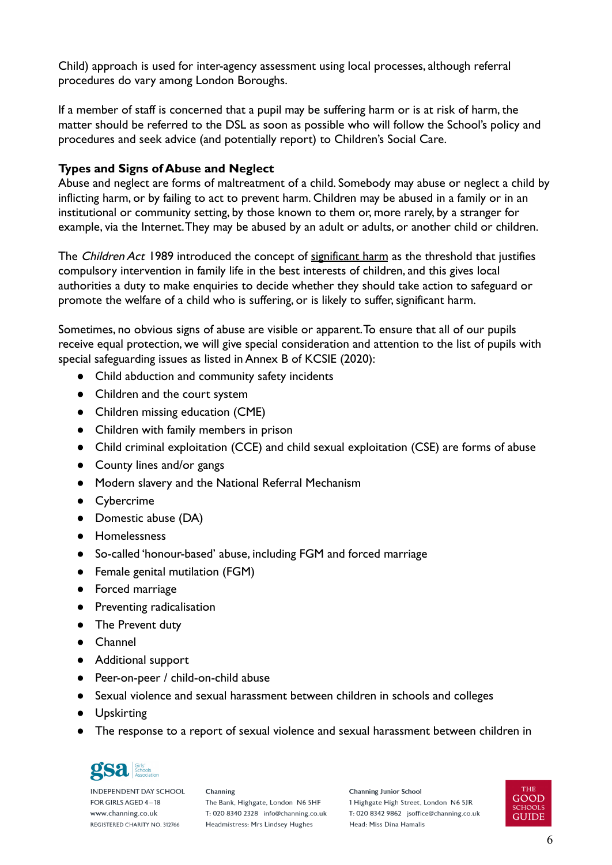Child) approach is used for inter-agency assessment using local processes, although referral procedures do vary among London Boroughs.

If a member of staff is concerned that a pupil may be suffering harm or is at risk of harm, the matter should be referred to the DSL as soon as possible who will follow the School's policy and procedures and seek advice (and potentially report) to Children's Social Care.

# <span id="page-5-0"></span>**Types and Signs of Abuse and Neglect**

Abuse and neglect are forms of maltreatment of a child. Somebody may abuse or neglect a child by inflicting harm, or by failing to act to prevent harm. Children may be abused in a family or in an institutional or community setting, by those known to them or, more rarely, by a stranger for example, via the Internet.They may be abused by an adult or adults, or another child or children.

The Children Act 1989 introduced the concept of significant harm as the threshold that justifies compulsory intervention in family life in the best interests of children, and this gives local authorities a duty to make enquiries to decide whether they should take action to safeguard or promote the welfare of a child who is suffering, or is likely to suffer, significant harm.

Sometimes, no obvious signs of abuse are visible or apparent.To ensure that all of our pupils receive equal protection, we will give special consideration and attention to the list of pupils with special safeguarding issues as listed in Annex B of KCSIE (2020):

- Child abduction and community safety incidents
- Children and the court system
- Children missing education (CME)
- Children with family members in prison
- Child criminal exploitation (CCE) and child sexual exploitation (CSE) are forms of abuse
- County lines and/or gangs
- Modern slavery and the National Referral Mechanism
- Cybercrime
- Domestic abuse (DA)
- Homelessness
- So-called 'honour-based' abuse, including FGM and forced marriage
- Female genital mutilation (FGM)
- Forced marriage
- Preventing radicalisation
- The Prevent duty
- Channel
- Additional support
- Peer-on-peer / child-on-child abuse
- Sexual violence and sexual harassment between children in schools and colleges
- Upskirting
- The response to a report of sexual violence and sexual harassment between children in



**INDEPENDENT DAY SCHOOL** FOR GIRLS AGED 4-18 www.channing.co.uk REGISTERED CHARITY NO. 312766

Channing The Bank, Highgate, London N6 5HF T: 020 8340 2328 info@channing.co.uk Headmistress: Mrs Lindsey Hughes

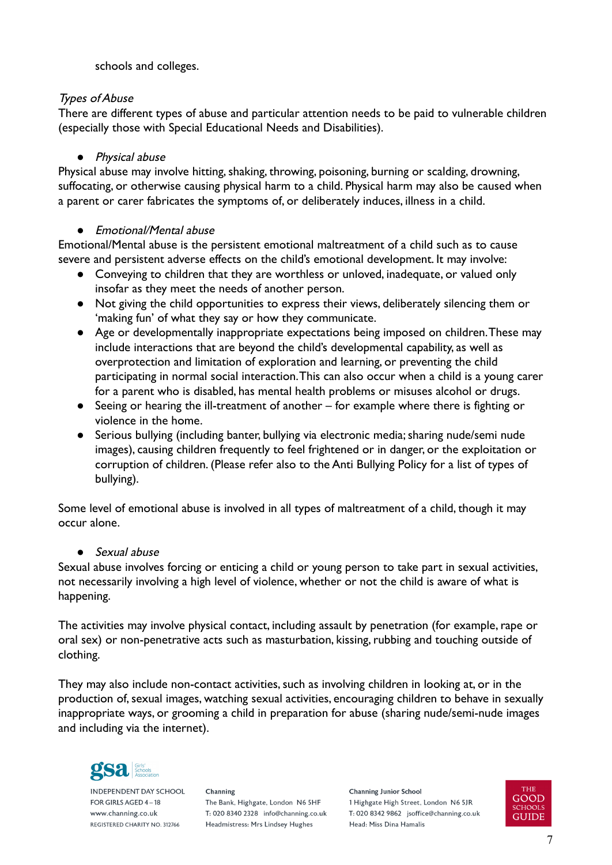### schools and colleges.

# Types of Abuse

There are different types of abuse and particular attention needs to be paid to vulnerable children (especially those with Special Educational Needs and Disabilities).

### *●* Physical abuse

Physical abuse may involve hitting, shaking, throwing, poisoning, burning or scalding, drowning, suffocating, or otherwise causing physical harm to a child. Physical harm may also be caused when a parent or carer fabricates the symptoms of, or deliberately induces, illness in a child.

#### *●* Emotional/Mental abuse

Emotional/Mental abuse is the persistent emotional maltreatment of a child such as to cause severe and persistent adverse effects on the child's emotional development. It may involve:

- Conveying to children that they are worthless or unloved, inadequate, or valued only insofar as they meet the needs of another person.
- Not giving the child opportunities to express their views, deliberately silencing them or 'making fun' of what they say or how they communicate.
- Age or developmentally inappropriate expectations being imposed on children.These may include interactions that are beyond the child's developmental capability, as well as overprotection and limitation of exploration and learning, or preventing the child participating in normal social interaction.This can also occur when a child is a young carer for a parent who is disabled, has mental health problems or misuses alcohol or drugs.
- Seeing or hearing the ill-treatment of another for example where there is fighting or violence in the home.
- Serious bullying (including banter, bullying via electronic media; sharing nude/semi nude images), causing children frequently to feel frightened or in danger, or the exploitation or corruption of children. (Please refer also to the Anti Bullying Policy for a list of types of bullying).

Some level of emotional abuse is involved in all types of maltreatment of a child, though it may occur alone.

#### *●* Sexual abuse

Sexual abuse involves forcing or enticing a child or young person to take part in sexual activities, not necessarily involving a high level of violence, whether or not the child is aware of what is happening.

The activities may involve physical contact, including assault by penetration (for example, rape or oral sex) or non-penetrative acts such as masturbation, kissing, rubbing and touching outside of clothing.

They may also include non-contact activities, such as involving children in looking at, or in the production of, sexual images, watching sexual activities, encouraging children to behave in sexually inappropriate ways, or grooming a child in preparation for abuse (sharing nude/semi-nude images and including via the internet).



**INDEPENDENT DAY SCHOOL** FOR GIRLS AGED 4-18 www.channing.co.uk REGISTERED CHARITY NO. 312766

Channing The Bank, Highgate, London N6 5HF T: 020 8340 2328 info@channing.co.uk Headmistress: Mrs Lindsey Hughes

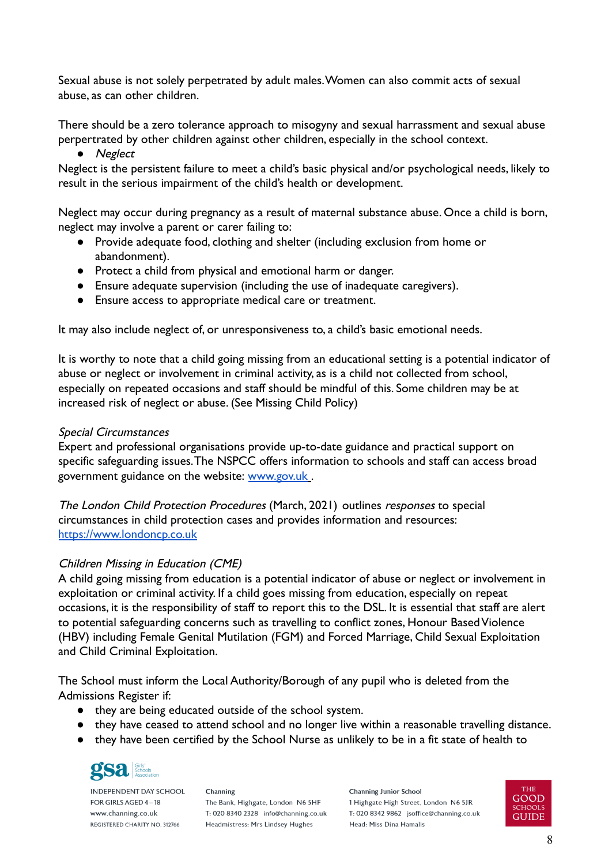Sexual abuse is not solely perpetrated by adult males.Women can also commit acts of sexual abuse, as can other children.

There should be a zero tolerance approach to misogyny and sexual harrassment and sexual abuse perpertrated by other children against other children, especially in the school context.

*●* Neglect

Neglect is the persistent failure to meet a child's basic physical and/or psychological needs, likely to result in the serious impairment of the child's health or development.

Neglect may occur during pregnancy as a result of maternal substance abuse. Once a child is born, neglect may involve a parent or carer failing to:

- Provide adequate food, clothing and shelter (including exclusion from home or abandonment).
- Protect a child from physical and emotional harm or danger.
- Ensure adequate supervision (including the use of inadequate caregivers).
- Ensure access to appropriate medical care or treatment.

It may also include neglect of, or unresponsiveness to, a child's basic emotional needs.

It is worthy to note that a child going missing from an educational setting is a potential indicator of abuse or neglect or involvement in criminal activity, as is a child not collected from school, especially on repeated occasions and staff should be mindful of this. Some children may be at increased risk of neglect or abuse. (See Missing Child Policy)

### Special Circumstances

Expert and professional organisations provide up-to-date guidance and practical support on specific safeguarding issues.The NSPCC offers information to schools and staff can access broad government guidance on the website: [www.gov.uk](http://www.gov.uk).

The London Child Protection Procedures (March, 2021) outlines responses to special circumstances in child protection cases and provides information and resources: <https://www.londoncp.co.uk>

# Children Missing in Education (CME)

A child going missing from education is a potential indicator of abuse or neglect or involvement in exploitation or criminal activity. If a child goes missing from education, especially on repeat occasions, it is the responsibility of staff to report this to the DSL. It is essential that staff are alert to potential safeguarding concerns such as travelling to conflict zones, Honour Based Violence (HBV) including Female Genital Mutilation (FGM) and Forced Marriage, Child Sexual Exploitation and Child Criminal Exploitation.

The School must inform the Local Authority/Borough of any pupil who is deleted from the Admissions Register if:

- they are being educated outside of the school system.
- they have ceased to attend school and no longer live within a reasonable travelling distance.
- they have been certified by the School Nurse as unlikely to be in a fit state of health to



**INDEPENDENT DAY SCHOOL** FOR GIRLS AGED 4-18 www.channing.co.uk REGISTERED CHARITY NO. 312766

Channing The Bank, Highgate, London N6 5HF T: 020 8340 2328 info@channing.co.uk Headmistress: Mrs Lindsey Hughes

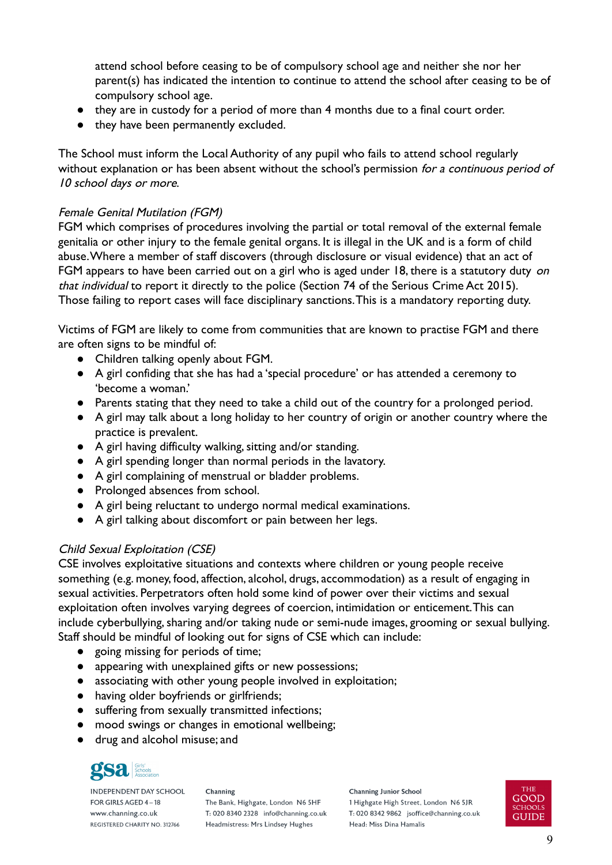attend school before ceasing to be of compulsory school age and neither she nor her parent(s) has indicated the intention to continue to attend the school after ceasing to be of compulsory school age.

- they are in custody for a period of more than 4 months due to a final court order.
- they have been permanently excluded.

The School must inform the Local Authority of any pupil who fails to attend school regularly without explanation or has been absent without the school's permission for a continuous period of 10 school days or more.

#### Female Genital Mutilation (FGM)

FGM which comprises of procedures involving the partial or total removal of the external female genitalia or other injury to the female genital organs. It is illegal in the UK and is a form of child abuse.Where a member of staff discovers (through disclosure or visual evidence) that an act of FGM appears to have been carried out on a girl who is aged under 18, there is a statutory duty on that individual to report it directly to the police (Section 74 of the Serious Crime Act 2015). Those failing to report cases will face disciplinary sanctions.This is a mandatory reporting duty.

Victims of FGM are likely to come from communities that are known to practise FGM and there are often signs to be mindful of:

- Children talking openly about FGM.
- A girl confiding that she has had a 'special procedure' or has attended a ceremony to 'become a woman.'
- Parents stating that they need to take a child out of the country for a prolonged period.
- A girl may talk about a long holiday to her country of origin or another country where the practice is prevalent.
- A girl having difficulty walking, sitting and/or standing.
- A girl spending longer than normal periods in the lavatory.
- A girl complaining of menstrual or bladder problems.
- Prolonged absences from school.
- A girl being reluctant to undergo normal medical examinations.
- A girl talking about discomfort or pain between her legs.

# Child Sexual Exploitation (CSE)

CSE involves exploitative situations and contexts where children or young people receive something (e.g. money, food, affection, alcohol, drugs, accommodation) as a result of engaging in sexual activities. Perpetrators often hold some kind of power over their victims and sexual exploitation often involves varying degrees of coercion, intimidation or enticement.This can include cyberbullying, sharing and/or taking nude or semi-nude images, grooming or sexual bullying. Staff should be mindful of looking out for signs of CSE which can include:

- going missing for periods of time;
- appearing with unexplained gifts or new possessions;
- associating with other young people involved in exploitation;
- having older boyfriends or girlfriends;
- suffering from sexually transmitted infections;
- mood swings or changes in emotional wellbeing;
- drug and alcohol misuse; and



**INDEPENDENT DAY SCHOOL** FOR GIRLS AGED 4-18 www.channing.co.uk REGISTERED CHARITY NO. 312766

Channing The Bank, Highgate, London N6 5HF T: 020 8340 2328 info@channing.co.uk Headmistress: Mrs Lindsey Hughes

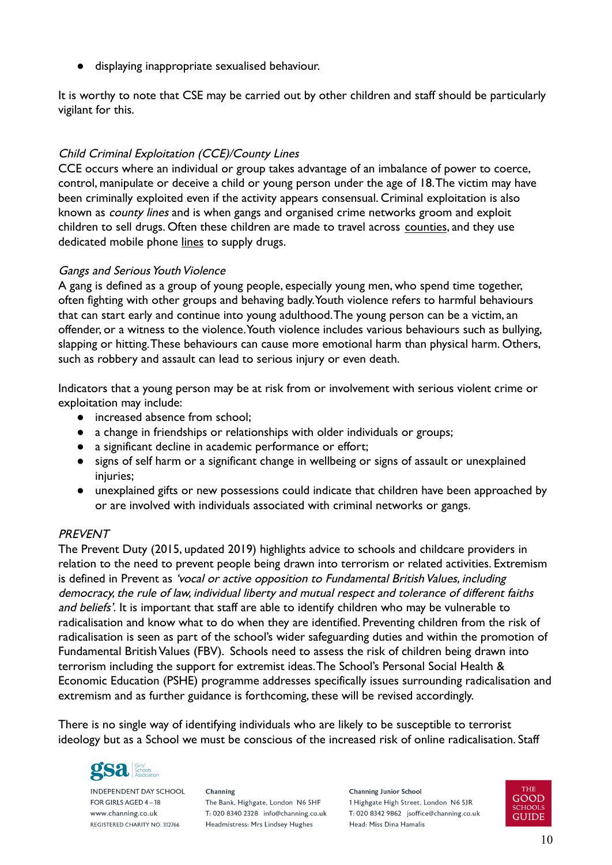displaying inappropriate sexualised behaviour.

It is worthy to note that CSE may be carried out by other children and staff should be particularly vigilant for this.

# Child Criminal Exploitation (CCE)/County Lines

CCE occurs where an individual or group takes advantage of an imbalance of power to coerce, control, manipulate or deceive a child or young person under the age of 18.The victim may have been criminally exploited even if the activity appears consensual. Criminal exploitation is also known as county lines and is when gangs and organised crime networks groom and exploit children to sell drugs. Often these children are made to travel across counties, and they use dedicated mobile phone lines to supply drugs.

# Gangs and Serious Youth Violence

A gang is defined as a group of young people, especially young men, who spend time together, often fighting with other groups and behaving badly.Youth violence refers to harmful behaviours that can start early and continue into young adulthood.The young person can be a victim, an offender, or a witness to the violence.Youth violence includes various behaviours such as bullying, slapping or hitting.These behaviours can cause more emotional harm than physical harm. Others, such as robbery and assault can lead to serious injury or even death.

Indicators that a young person may be at risk from or involvement with serious violent crime or exploitation may include:

- increased absence from school;
- a change in friendships or relationships with older individuals or groups;
- a significant decline in academic performance or effort;
- signs of self harm or a significant change in wellbeing or signs of assault or unexplained injuries;
- unexplained gifts or new possessions could indicate that children have been approached by or are involved with individuals associated with criminal networks or gangs.

# PREVENT

The Prevent Duty (2015, updated 2019) highlights advice to schools and childcare providers in relation to the need to prevent people being drawn into terrorism or related activities. Extremism is defined in Prevent as 'vocal or active opposition to Fundamental British Values, including democracy, the rule of law, individual liberty and mutual respect and tolerance of different faiths and beliefs'. It is important that staff are able to identify children who may be vulnerable to radicalisation and know what to do when they are identified. Preventing children from the risk of radicalisation is seen as part of the school's wider safeguarding duties and within the promotion of Fundamental British Values (FBV). Schools need to assess the risk of children being drawn into terrorism including the support for extremist ideas.The School's Personal Social Health & Economic Education (PSHE) programme addresses specifically issues surrounding radicalisation and extremism and as further guidance is forthcoming, these will be revised accordingly.

There is no single way of identifying individuals who are likely to be susceptible to terrorist ideology but as a School we must be conscious of the increased risk of online radicalisation. Staff



**INDEPENDENT DAY SCHOOL** FOR GIRLS AGED 4-18 www.channing.co.uk REGISTERED CHARITY NO. 312766

Channing The Bank, Highgate, London N6 5HF T: 020 8340 2328 info@channing.co.uk Headmistress: Mrs Lindsey Hughes

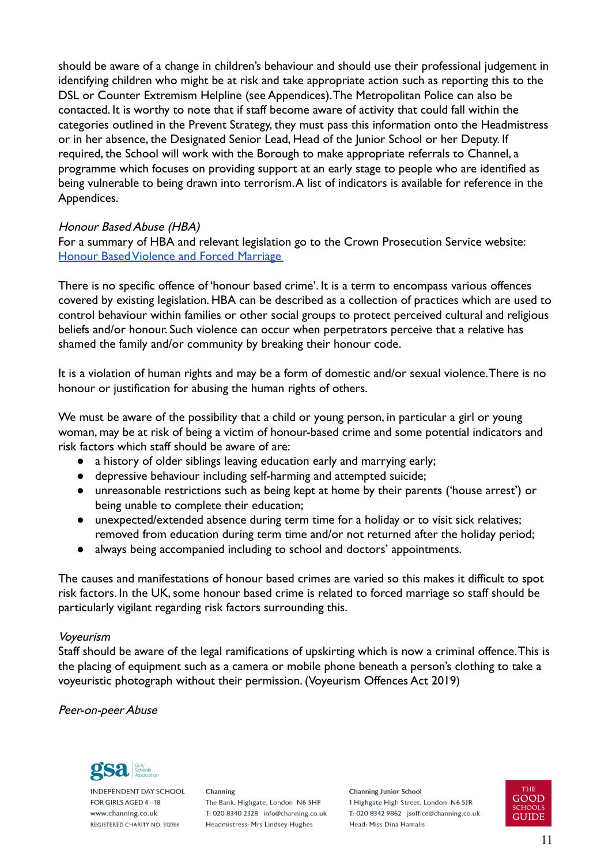should be aware of a change in children's behaviour and should use their professional judgement in identifying children who might be at risk and take appropriate action such as reporting this to the DSL or Counter Extremism Helpline (see Appendices).The Metropolitan Police can also be contacted. It is worthy to note that if staff become aware of activity that could fall within the categories outlined in the Prevent Strategy, they must pass this information onto the Headmistress or in her absence, the Designated Senior Lead, Head of the Junior School or her Deputy. If required, the School will work with the Borough to make appropriate referrals to Channel, a programme which focuses on providing support at an early stage to people who are identified as being vulnerable to being drawn into terrorism.A list of indicators is available for reference in the Appendices.

#### Honour Based Abuse (HBA)

For a summary of HBA and relevant legislation go to the Crown Prosecution Service website: [Honour Based Violence and Forced Marriage](https://www.cps.gov.uk/publication/honour-based-violence-and-forced-marriage)

There is no specific offence of 'honour based crime'. It is a term to encompass various offences covered by existing legislation. HBA can be described as a collection of practices which are used to control behaviour within families or other social groups to protect perceived cultural and religious beliefs and/or honour. Such violence can occur when perpetrators perceive that a relative has shamed the family and/or community by breaking their honour code.

It is a violation of human rights and may be a form of domestic and/or sexual violence.There is no honour or justification for abusing the human rights of others.

We must be aware of the possibility that a child or young person, in particular a girl or young woman, may be at risk of being a victim of honour-based crime and some potential indicators and risk factors which staff should be aware of are:

- a history of older siblings leaving education early and marrying early;
- depressive behaviour including self-harming and attempted suicide;
- unreasonable restrictions such as being kept at home by their parents ('house arrest') or being unable to complete their education;
- unexpected/extended absence during term time for a holiday or to visit sick relatives; removed from education during term time and/or not returned after the holiday period;
- always being accompanied including to school and doctors' appointments.

The causes and manifestations of honour based crimes are varied so this makes it difficult to spot risk factors. In the UK, some honour based crime is related to forced marriage so staff should be particularly vigilant regarding risk factors surrounding this.

#### Voyeurism

Staff should be aware of the legal ramifications of upskirting which is now a criminal offence.This is the placing of equipment such as a camera or mobile phone beneath a person's clothing to take a voyeuristic photograph without their permission. (Voyeurism Offences Act 2019)

#### <span id="page-10-0"></span>Peer-on-peer Abuse



**INDEPENDENT DAY SCHOOL** FOR GIRLS AGED 4-18 www.channing.co.uk REGISTERED CHARITY NO. 312766

Channing The Bank, Highgate, London N6 5HF T: 020 8340 2328 info@channing.co.uk Headmistress: Mrs Lindsey Hughes

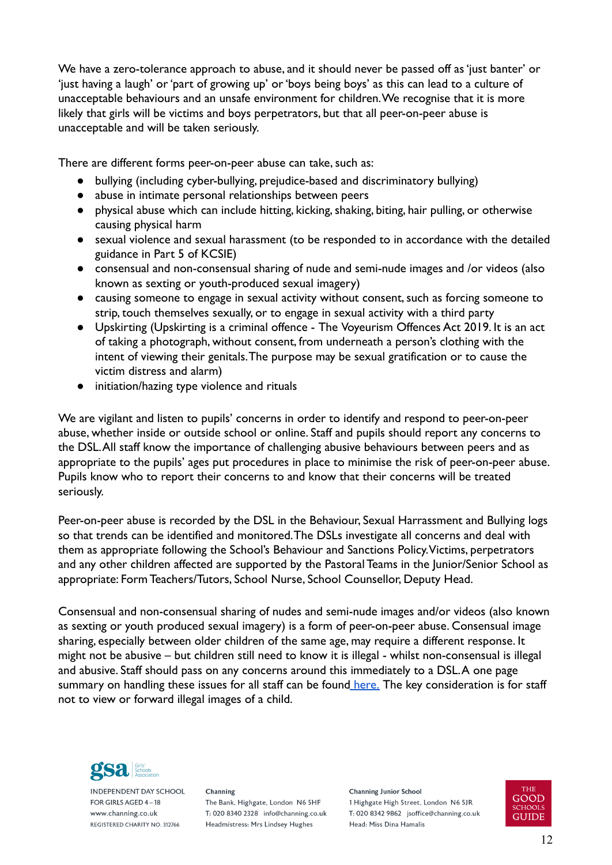We have a zero-tolerance approach to abuse, and it should never be passed off as 'just banter' or 'just having a laugh' or 'part of growing up' or 'boys being boys' as this can lead to a culture of unacceptable behaviours and an unsafe environment for children.We recognise that it is more likely that girls will be victims and boys perpetrators, but that all peer-on-peer abuse is unacceptable and will be taken seriously.

There are different forms peer-on-peer abuse can take, such as:

- bullying (including cyber-bullying, prejudice-based and discriminatory bullying)
- abuse in intimate personal relationships between peers
- physical abuse which can include hitting, kicking, shaking, biting, hair pulling, or otherwise causing physical harm
- sexual violence and sexual harassment (to be responded to in accordance with the detailed guidance in Part 5 of KCSIE)
- consensual and non-consensual sharing of nude and semi-nude images and /or videos (also known as sexting or youth-produced sexual imagery)
- causing someone to engage in sexual activity without consent, such as forcing someone to strip, touch themselves sexually, or to engage in sexual activity with a third party
- Upskirting (Upskirting is a criminal offence The Voyeurism Offences Act 2019. It is an act of taking a photograph, without consent, from underneath a person's clothing with the intent of viewing their genitals.The purpose may be sexual gratification or to cause the victim distress and alarm)
- initiation/hazing type violence and rituals

We are vigilant and listen to pupils' concerns in order to identify and respond to peer-on-peer abuse, whether inside or outside school or online. Staff and pupils should report any concerns to the DSL.All staff know the importance of challenging abusive behaviours between peers and as appropriate to the pupils' ages put procedures in place to minimise the risk of peer-on-peer abuse. Pupils know who to report their concerns to and know that their concerns will be treated seriously.

Peer-on-peer abuse is recorded by the DSL in the Behaviour, Sexual Harrassment and Bullying logs so that trends can be identified and monitored.The DSLs investigate all concerns and deal with them as appropriate following the School's Behaviour and Sanctions Policy.Victims, perpetrators and any other children affected are supported by the Pastoral Teams in the Junior/Senior School as appropriate: Form Teachers/Tutors, School Nurse, School Counsellor, Deputy Head.

Consensual and non-consensual sharing of nudes and semi-nude images and/or videos (also known as sexting or youth produced sexual imagery) is a form of peer-on-peer abuse. Consensual image sharing, especially between older children of the same age, may require a different response. It might not be abusive – but children still need to know it is illegal - whilst non-consensual is illegal and abusive. Staff should pass on any concerns around this immediately to a DSL.A one page summary on handling these issues for all staff can be found [here.](https://ineqe.com/wp-content/uploads/2021/01/Sharing_nudes_and_semi_nudes_how_to_respond_to_an_incident_Summary_V2.pdf) The key consideration is for staff not to view or forward illegal images of a child.



**INDEPENDENT DAY SCHOOL** FOR GIRLS AGED 4-18 www.channing.co.uk REGISTERED CHARITY NO. 312766

Channing The Bank, Highgate, London N6 5HF T: 020 8340 2328 info@channing.co.uk Headmistress: Mrs Lindsey Hughes

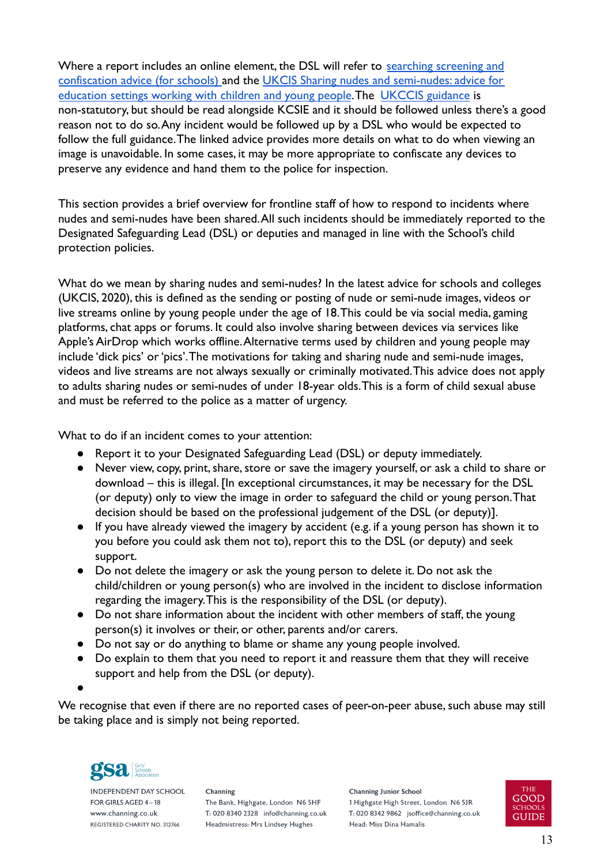Where a report includes an online element, the DSL will refer to [searching screening and](https://www.gov.uk/government/publications/searching-screening-and-confiscation) [confiscation advice \(for schools\)](https://www.gov.uk/government/publications/searching-screening-and-confiscation) and the [UKCIS Sharing nudes and semi-nudes: advice for](https://www.gov.uk/government/publications/sharing-nudes-and-semi-nudes-advice-for-education-settings-working-with-children-and-young-people/sharing-nudes-and-semi-nudes-advice-for-education-settings-working-with-children-and-young-people) [education settings working with children and young people](https://www.gov.uk/government/publications/sharing-nudes-and-semi-nudes-advice-for-education-settings-working-with-children-and-young-people/sharing-nudes-and-semi-nudes-advice-for-education-settings-working-with-children-and-young-people).The [UKCCIS guidance](https://ineqe.com/wp-content/uploads/2021/01/UKCIS_sharing_nudes_and_semi_nudes_advice_for_education_settings_V2.pdf) is non-statutory, but should be read alongside KCSIE and it should be followed unless there's a good reason not to do so.Any incident would be followed up by a DSL who would be expected to follow the full guidance.The linked advice provides more details on what to do when viewing an image is unavoidable. In some cases, it may be more appropriate to confiscate any devices to preserve any evidence and hand them to the police for inspection.

This section provides a brief overview for frontline staff of how to respond to incidents where nudes and semi-nudes have been shared.All such incidents should be immediately reported to the Designated Safeguarding Lead (DSL) or deputies and managed in line with the School's child protection policies.

What do we mean by sharing nudes and semi-nudes? In the latest advice for schools and colleges (UKCIS, 2020), this is defined as the sending or posting of nude or semi-nude images, videos or live streams online by young people under the age of 18.This could be via social media, gaming platforms, chat apps or forums. It could also involve sharing between devices via services like Apple's AirDrop which works offline.Alternative terms used by children and young people may include 'dick pics' or 'pics'.The motivations for taking and sharing nude and semi-nude images, videos and live streams are not always sexually or criminally motivated.This advice does not apply to adults sharing nudes or semi-nudes of under 18-year olds.This is a form of child sexual abuse and must be referred to the police as a matter of urgency.

What to do if an incident comes to your attention:

- Report it to your Designated Safeguarding Lead (DSL) or deputy immediately.
- Never view, copy, print, share, store or save the imagery yourself, or ask a child to share or download – this is illegal. [In exceptional circumstances, it may be necessary for the DSL (or deputy) only to view the image in order to safeguard the child or young person.That decision should be based on the professional judgement of the DSL (or deputy)].
- If you have already viewed the imagery by accident (e.g. if a young person has shown it to you before you could ask them not to), report this to the DSL (or deputy) and seek support.
- Do not delete the imagery or ask the young person to delete it. Do not ask the child/children or young person(s) who are involved in the incident to disclose information regarding the imagery.This is the responsibility of the DSL (or deputy).
- Do not share information about the incident with other members of staff, the young person(s) it involves or their, or other, parents and/or carers.
- Do not say or do anything to blame or shame any young people involved.
- Do explain to them that you need to report it and reassure them that they will receive support and help from the DSL (or deputy).

●

We recognise that even if there are no reported cases of peer-on-peer abuse, such abuse may still be taking place and is simply not being reported.



**INDEPENDENT DAY SCHOOL** FOR GIRLS AGED 4-18 www.channing.co.uk REGISTERED CHARITY NO. 312766

Channing The Bank, Highgate, London N6 5HF T: 020 8340 2328 info@channing.co.uk Headmistress: Mrs Lindsey Hughes

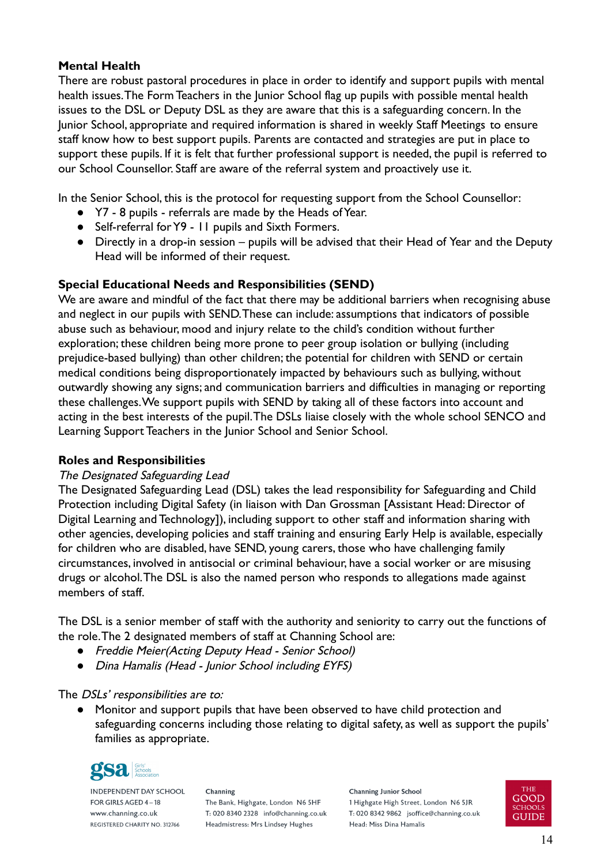# <span id="page-13-0"></span>**Mental Health**

There are robust pastoral procedures in place in order to identify and support pupils with mental health issues.The Form Teachers in the Junior School flag up pupils with possible mental health issues to the DSL or Deputy DSL as they are aware that this is a safeguarding concern. In the Junior School, appropriate and required information is shared in weekly Staff Meetings to ensure staff know how to best support pupils. Parents are contacted and strategies are put in place to support these pupils. If it is felt that further professional support is needed, the pupil is referred to our School Counsellor. Staff are aware of the referral system and proactively use it.

In the Senior School, this is the protocol for requesting support from the School Counsellor:

- Y7 8 pupils referrals are made by the Heads of Year.
- Self-referral for Y9 11 pupils and Sixth Formers.
- Directly in a drop-in session pupils will be advised that their Head of Year and the Deputy Head will be informed of their request.

# <span id="page-13-1"></span>**Special Educational Needs and Responsibilities (SEND)**

We are aware and mindful of the fact that there may be additional barriers when recognising abuse and neglect in our pupils with SEND.These can include: assumptions that indicators of possible abuse such as behaviour, mood and injury relate to the child's condition without further exploration; these children being more prone to peer group isolation or bullying (including prejudice-based bullying) than other children; the potential for children with SEND or certain medical conditions being disproportionately impacted by behaviours such as bullying, without outwardly showing any signs; and communication barriers and difficulties in managing or reporting these challenges.We support pupils with SEND by taking all of these factors into account and acting in the best interests of the pupil.The DSLs liaise closely with the whole school SENCO and Learning Support Teachers in the Junior School and Senior School.

# <span id="page-13-2"></span>**Roles and Responsibilities**

# The Designated Safeguarding Lead

The Designated Safeguarding Lead (DSL) takes the lead responsibility for Safeguarding and Child Protection including Digital Safety (in liaison with Dan Grossman [Assistant Head: Director of Digital Learning and Technology]), including support to other staff and information sharing with other agencies, developing policies and staff training and ensuring Early Help is available, especially for children who are disabled, have SEND, young carers, those who have challenging family circumstances, involved in antisocial or criminal behaviour, have a social worker or are misusing drugs or alcohol.The DSL is also the named person who responds to allegations made against members of staff.

The DSL is a senior member of staff with the authority and seniority to carry out the functions of the role.The 2 designated members of staff at Channing School are:

- *●* Freddie Meier(Acting Deputy Head Senior School)
- **Dina Hamalis (Head Junior School including EYFS)**

# The *DSLs'* responsibilities are to:

● Monitor and support pupils that have been observed to have child protection and safeguarding concerns including those relating to digital safety, as well as support the pupils' families as appropriate.



**INDEPENDENT DAY SCHOOL** FOR GIRLS AGED 4-18 www.channing.co.uk REGISTERED CHARITY NO. 312766

Channing The Bank, Highgate, London N6 5HF T: 020 8340 2328 info@channing.co.uk Headmistress: Mrs Lindsey Hughes

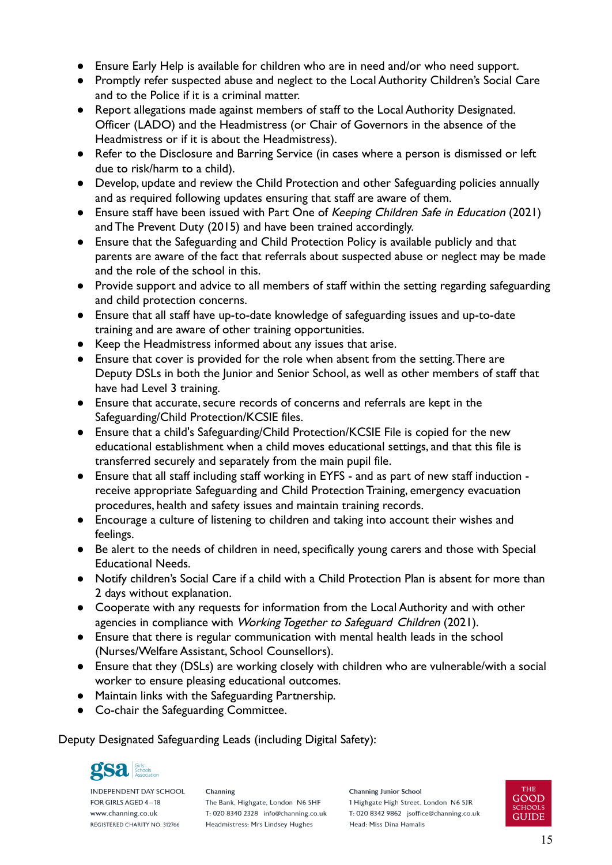- Ensure Early Help is available for children who are in need and/or who need support.
- Promptly refer suspected abuse and neglect to the Local Authority Children's Social Care and to the Police if it is a criminal matter.
- Report allegations made against members of staff to the Local Authority Designated. Officer (LADO) and the Headmistress (or Chair of Governors in the absence of the Headmistress or if it is about the Headmistress).
- Refer to the Disclosure and Barring Service (in cases where a person is dismissed or left due to risk/harm to a child).
- Develop, update and review the Child Protection and other Safeguarding policies annually and as required following updates ensuring that staff are aware of them.
- Ensure staff have been issued with Part One of Keeping Children Safe in Education (2021) and The Prevent Duty (2015) and have been trained accordingly.
- Ensure that the Safeguarding and Child Protection Policy is available publicly and that parents are aware of the fact that referrals about suspected abuse or neglect may be made and the role of the school in this.
- Provide support and advice to all members of staff within the setting regarding safeguarding and child protection concerns.
- Ensure that all staff have up-to-date knowledge of safeguarding issues and up-to-date training and are aware of other training opportunities.
- Keep the Headmistress informed about any issues that arise.
- Ensure that cover is provided for the role when absent from the setting.There are Deputy DSLs in both the Junior and Senior School, as well as other members of staff that have had Level 3 training.
- Ensure that accurate, secure records of concerns and referrals are kept in the Safeguarding/Child Protection/KCSIE files.
- Ensure that a child's Safeguarding/Child Protection/KCSIE File is copied for the new educational establishment when a child moves educational settings, and that this file is transferred securely and separately from the main pupil file.
- Ensure that all staff including staff working in EYFS and as part of new staff induction receive appropriate Safeguarding and Child Protection Training, emergency evacuation procedures, health and safety issues and maintain training records.
- Encourage a culture of listening to children and taking into account their wishes and feelings.
- Be alert to the needs of children in need, specifically young carers and those with Special Educational Needs.
- Notify children's Social Care if a child with a Child Protection Plan is absent for more than 2 days without explanation.
- Cooperate with any requests for information from the Local Authority and with other agencies in compliance with Working Together to Safeguard Children (2021).
- Ensure that there is regular communication with mental health leads in the school (Nurses/Welfare Assistant, School Counsellors).
- Ensure that they (DSLs) are working closely with children who are vulnerable/with a social worker to ensure pleasing educational outcomes.
- Maintain links with the Safeguarding Partnership.
- Co-chair the Safeguarding Committee.

Deputy Designated Safeguarding Leads (including Digital Safety):



**INDEPENDENT DAY SCHOOL** FOR GIRLS AGED 4-18 www.channing.co.uk REGISTERED CHARITY NO. 312766

Channing The Bank, Highgate, London N6 5HF T: 020 8340 2328 info@channing.co.uk Headmistress: Mrs Lindsey Hughes

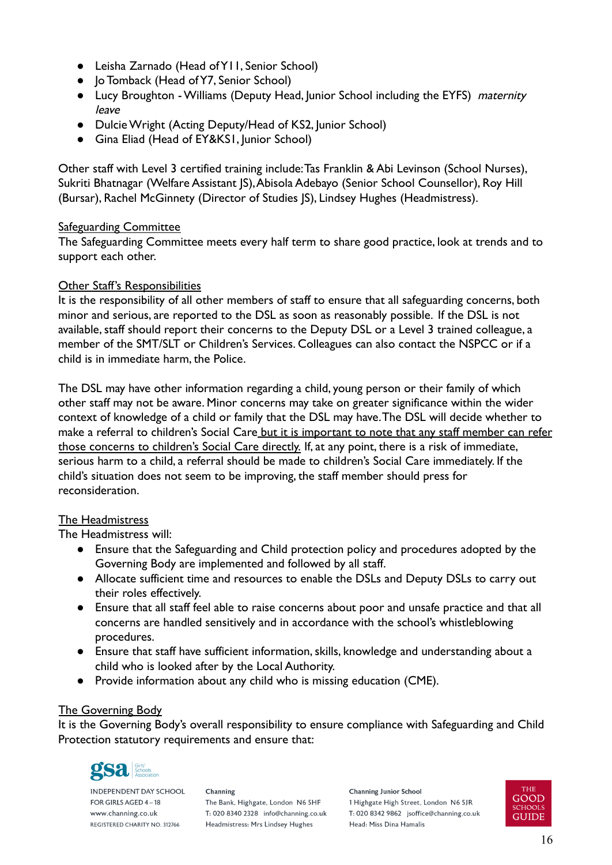- Leisha Zarnado (Head of Y11, Senior School)
- Jo Tomback (Head of Y7, Senior School)
- Lucy Broughton Williams (Deputy Head, Junior School including the EYFS) maternity leave
- Dulcie Wright (Acting Deputy/Head of KS2, Junior School)
- Gina Eliad (Head of EY&KS1, Junior School)

Other staff with Level 3 certified training include:Tas Franklin & Abi Levinson (School Nurses), Sukriti Bhatnagar (Welfare Assistant JS), Abisola Adebayo (Senior School Counsellor), Roy Hill (Bursar), Rachel McGinnety (Director of Studies JS), Lindsey Hughes (Headmistress).

#### Safeguarding Committee

The Safeguarding Committee meets every half term to share good practice, look at trends and to support each other.

#### Other Staff's Responsibilities

It is the responsibility of all other members of staff to ensure that all safeguarding concerns, both minor and serious, are reported to the DSL as soon as reasonably possible. If the DSL is not available, staff should report their concerns to the Deputy DSL or a Level 3 trained colleague, a member of the SMT/SLT or Children's Services. Colleagues can also contact the NSPCC or if a child is in immediate harm, the Police.

The DSL may have other information regarding a child, young person or their family of which other staff may not be aware. Minor concerns may take on greater significance within the wider context of knowledge of a child or family that the DSL may have.The DSL will decide whether to make a referral to children's Social Care but it is important to note that any staff member can refer those concerns to children's Social Care directly. If, at any point, there is a risk of immediate, serious harm to a child, a referral should be made to children's Social Care immediately. If the child's situation does not seem to be improving, the staff member should press for reconsideration.

#### The Headmistress

The Headmistress will:

- Ensure that the Safeguarding and Child protection policy and procedures adopted by the Governing Body are implemented and followed by all staff.
- Allocate sufficient time and resources to enable the DSLs and Deputy DSLs to carry out their roles effectively.
- Ensure that all staff feel able to raise concerns about poor and unsafe practice and that all concerns are handled sensitively and in accordance with the school's whistleblowing procedures.
- Ensure that staff have sufficient information, skills, knowledge and understanding about a child who is looked after by the Local Authority.
- Provide information about any child who is missing education (CME).

# The Governing Body

It is the Governing Body's overall responsibility to ensure compliance with Safeguarding and Child Protection statutory requirements and ensure that:



**INDEPENDENT DAY SCHOOL** FOR GIRLS AGED 4-18 www.channing.co.uk REGISTERED CHARITY NO. 312766

Channing The Bank, Highgate, London N6 5HF T: 020 8340 2328 info@channing.co.uk Headmistress: Mrs Lindsey Hughes

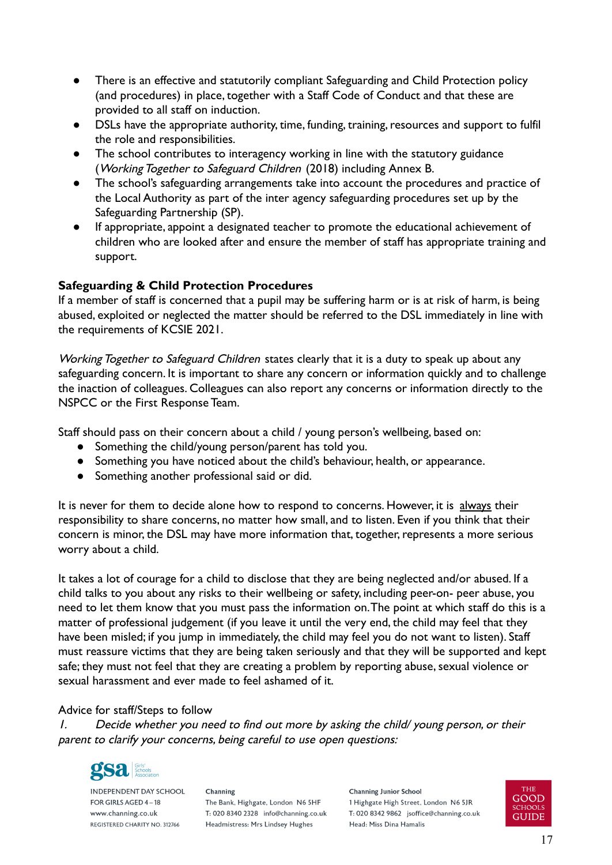- There is an effective and statutorily compliant Safeguarding and Child Protection policy (and procedures) in place, together with a Staff Code of Conduct and that these are provided to all staff on induction.
- DSLs have the appropriate authority, time, funding, training, resources and support to fulfil the role and responsibilities.
- The school contributes to interagency working in line with the statutory guidance (Working Together to Safeguard Children (2018) including Annex B.
- The school's safeguarding arrangements take into account the procedures and practice of the Local Authority as part of the inter agency safeguarding procedures set up by the Safeguarding Partnership (SP).
- If appropriate, appoint a designated teacher to promote the educational achievement of children who are looked after and ensure the member of staff has appropriate training and support.

# <span id="page-16-0"></span>**Safeguarding & Child Protection Procedures**

If a member of staff is concerned that a pupil may be suffering harm or is at risk of harm, is being abused, exploited or neglected the matter should be referred to the DSL immediately in line with the requirements of KCSIE 2021.

Working Together to Safeguard Children states clearly that it is a duty to speak up about any safeguarding concern. It is important to share any concern or information quickly and to challenge the inaction of colleagues. Colleagues can also report any concerns or information directly to the NSPCC or the First Response Team.

Staff should pass on their concern about a child / young person's wellbeing, based on:

- Something the child/young person/parent has told you.
- Something you have noticed about the child's behaviour, health, or appearance.
- Something another professional said or did.

It is never for them to decide alone how to respond to concerns. However, it is always their responsibility to share concerns, no matter how small, and to listen. Even if you think that their concern is minor, the DSL may have more information that, together, represents a more serious worry about a child.

It takes a lot of courage for a child to disclose that they are being neglected and/or abused. If a child talks to you about any risks to their wellbeing or safety, including peer-on- peer abuse, you need to let them know that you must pass the information on.The point at which staff do this is a matter of professional judgement (if you leave it until the very end, the child may feel that they have been misled; if you jump in immediately, the child may feel you do not want to listen). Staff must reassure victims that they are being taken seriously and that they will be supported and kept safe; they must not feel that they are creating a problem by reporting abuse, sexual violence or sexual harassment and ever made to feel ashamed of it.

# Advice for staff/Steps to follow

1. Decide whether you need to find out more by asking the child/ young person, or their parent to clarify your concerns, being careful to use open questions:



**INDEPENDENT DAY SCHOOL** FOR GIRLS AGED 4-18 www.channing.co.uk REGISTERED CHARITY NO. 312766

Channing The Bank, Highgate, London N6 5HF T: 020 8340 2328 info@channing.co.uk Headmistress: Mrs Lindsey Hughes

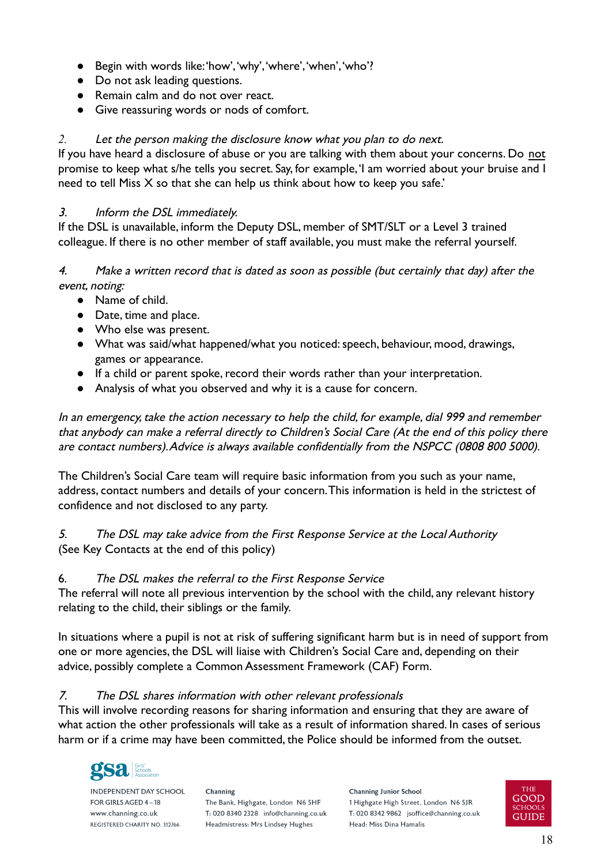- Begin with words like:'how','why','where','when','who'?
- Do not ask leading questions.
- Remain calm and do not over react.
- Give reassuring words or nods of comfort.

# *2.* Let the person making the disclosure know what you plan to do next.

If you have heard a disclosure of abuse or you are talking with them about your concerns. Do not promise to keep what s/he tells you secret. Say, for example,'I am worried about your bruise and I need to tell Miss X so that she can help us think about how to keep you safe.'

# 3. Inform the DSL immediately.

If the DSL is unavailable, inform the Deputy DSL, member of SMT/SLT or a Level 3 trained colleague. If there is no other member of staff available, you must make the referral yourself.

# 4. Make a written record that is dated as soon as possible (but certainly that day) after the event, noting:

- Name of child.
- Date, time and place.
- Who else was present.
- What was said/what happened/what you noticed: speech, behaviour, mood, drawings, games or appearance.
- If a child or parent spoke, record their words rather than your interpretation.
- Analysis of what you observed and why it is a cause for concern.

In an emergency, take the action necessary to help the child, for example, dial 999 and remember that anybody can make a referral directly to Children's Social Care (At the end of this policy there are contact numbers).Advice is always available confidentially from the NSPCC (0808 800 5000).

The Children's Social Care team will require basic information from you such as your name, address, contact numbers and details of your concern.This information is held in the strictest of confidence and not disclosed to any party.

# 5. The DSL may take advice from the First Response Service at the Local Authority (See Key Contacts at the end of this policy)

# 6. The DSL makes the referral to the First Response Service

The referral will note all previous intervention by the school with the child, any relevant history relating to the child, their siblings or the family.

In situations where a pupil is not at risk of suffering significant harm but is in need of support from one or more agencies, the DSL will liaise with Children's Social Care and, depending on their advice, possibly complete a Common Assessment Framework (CAF) Form.

# 7. The DSL shares information with other relevant professionals

This will involve recording reasons for sharing information and ensuring that they are aware of what action the other professionals will take as a result of information shared. In cases of serious harm or if a crime may have been committed, the Police should be informed from the outset.



**INDEPENDENT DAY SCHOOL** FOR GIRLS AGED 4-18 www.channing.co.uk REGISTERED CHARITY NO. 312766

Channing The Bank, Highgate, London N6 5HF T: 020 8340 2328 info@channing.co.uk Headmistress: Mrs Lindsey Hughes

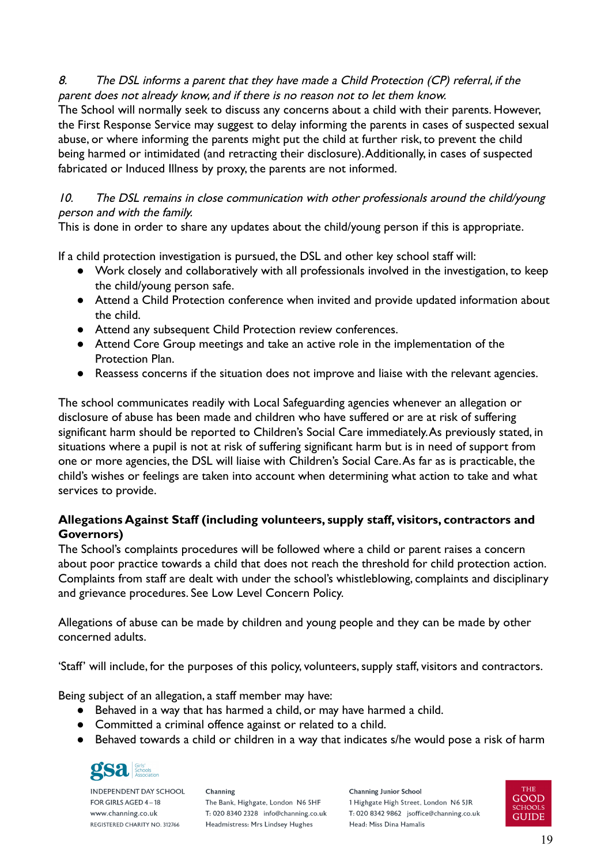# 8. The DSL informs a parent that they have made a Child Protection (CP) referral, if the parent does not already know, and if there is no reason not to let them know.

The School will normally seek to discuss any concerns about a child with their parents. However, the First Response Service may suggest to delay informing the parents in cases of suspected sexual abuse, or where informing the parents might put the child at further risk, to prevent the child being harmed or intimidated (and retracting their disclosure).Additionally, in cases of suspected fabricated or Induced Illness by proxy, the parents are not informed.

10. The DSL remains in close communication with other professionals around the child/young person and with the family.

This is done in order to share any updates about the child/young person if this is appropriate.

If a child protection investigation is pursued, the DSL and other key school staff will:

- Work closely and collaboratively with all professionals involved in the investigation, to keep the child/young person safe.
- Attend a Child Protection conference when invited and provide updated information about the child.
- Attend any subsequent Child Protection review conferences.
- Attend Core Group meetings and take an active role in the implementation of the Protection Plan.
- Reassess concerns if the situation does not improve and liaise with the relevant agencies.

The school communicates readily with Local Safeguarding agencies whenever an allegation or disclosure of abuse has been made and children who have suffered or are at risk of suffering significant harm should be reported to Children's Social Care immediately.As previously stated, in situations where a pupil is not at risk of suffering significant harm but is in need of support from one or more agencies, the DSL will liaise with Children's Social Care.As far as is practicable, the child's wishes or feelings are taken into account when determining what action to take and what services to provide.

# <span id="page-18-0"></span>**Allegations Against Staff (including volunteers, supply staff, visitors, contractors and Governors)**

The School's complaints procedures will be followed where a child or parent raises a concern about poor practice towards a child that does not reach the threshold for child protection action. Complaints from staff are dealt with under the school's whistleblowing, complaints and disciplinary and grievance procedures. See Low Level Concern Policy.

Allegations of abuse can be made by children and young people and they can be made by other concerned adults.

'Staff' will include, for the purposes of this policy, volunteers, supply staff, visitors and contractors.

Being subject of an allegation, a staff member may have:

- Behaved in a way that has harmed a child, or may have harmed a child.
- Committed a criminal offence against or related to a child.
- Behaved towards a child or children in a way that indicates s/he would pose a risk of harm



**INDEPENDENT DAY SCHOOL** FOR GIRLS AGED 4-18 www.channing.co.uk REGISTERED CHARITY NO. 312766

Channing The Bank, Highgate, London N6 5HF T: 020 8340 2328 info@channing.co.uk Headmistress: Mrs Lindsey Hughes

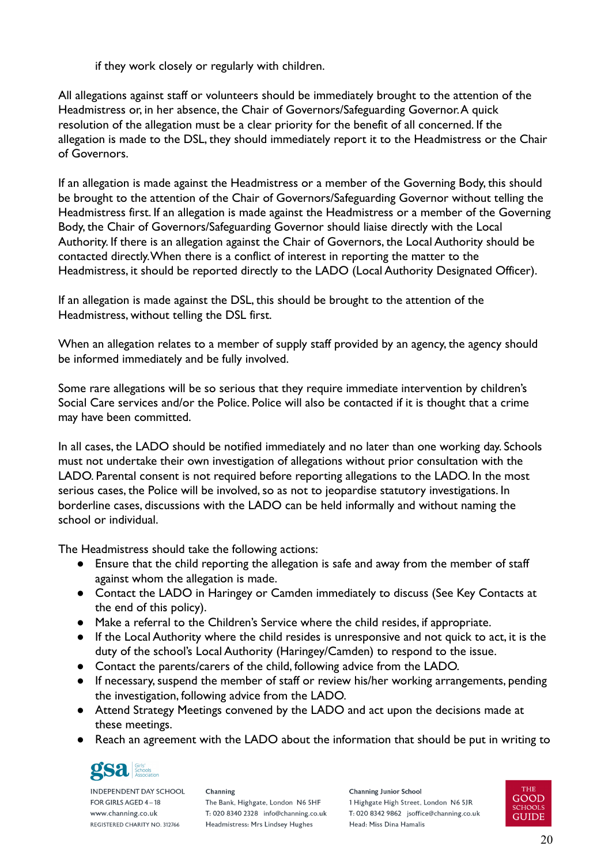if they work closely or regularly with children.

All allegations against staff or volunteers should be immediately brought to the attention of the Headmistress or, in her absence, the Chair of Governors/Safeguarding Governor.A quick resolution of the allegation must be a clear priority for the benefit of all concerned. If the allegation is made to the DSL, they should immediately report it to the Headmistress or the Chair of Governors.

If an allegation is made against the Headmistress or a member of the Governing Body, this should be brought to the attention of the Chair of Governors/Safeguarding Governor without telling the Headmistress first. If an allegation is made against the Headmistress or a member of the Governing Body, the Chair of Governors/Safeguarding Governor should liaise directly with the Local Authority. If there is an allegation against the Chair of Governors, the Local Authority should be contacted directly.When there is a conflict of interest in reporting the matter to the Headmistress, it should be reported directly to the LADO (Local Authority Designated Officer).

If an allegation is made against the DSL, this should be brought to the attention of the Headmistress, without telling the DSL first.

When an allegation relates to a member of supply staff provided by an agency, the agency should be informed immediately and be fully involved.

Some rare allegations will be so serious that they require immediate intervention by children's Social Care services and/or the Police. Police will also be contacted if it is thought that a crime may have been committed.

In all cases, the LADO should be notified immediately and no later than one working day. Schools must not undertake their own investigation of allegations without prior consultation with the LADO. Parental consent is not required before reporting allegations to the LADO. In the most serious cases, the Police will be involved, so as not to jeopardise statutory investigations. In borderline cases, discussions with the LADO can be held informally and without naming the school or individual.

The Headmistress should take the following actions:

- Ensure that the child reporting the allegation is safe and away from the member of staff against whom the allegation is made.
- Contact the LADO in Haringey or Camden immediately to discuss (See Key Contacts at the end of this policy).
- Make a referral to the Children's Service where the child resides, if appropriate.
- If the Local Authority where the child resides is unresponsive and not quick to act, it is the duty of the school's Local Authority (Haringey/Camden) to respond to the issue.
- Contact the parents/carers of the child, following advice from the LADO.
- If necessary, suspend the member of staff or review his/her working arrangements, pending the investigation, following advice from the LADO.
- Attend Strategy Meetings convened by the LADO and act upon the decisions made at these meetings.
- Reach an agreement with the LADO about the information that should be put in writing to



**INDEPENDENT DAY SCHOOL** FOR GIRLS AGED 4-18 www.channing.co.uk REGISTERED CHARITY NO. 312766

Channing The Bank, Highgate, London N6 5HF T: 020 8340 2328 info@channing.co.uk Headmistress: Mrs Lindsey Hughes

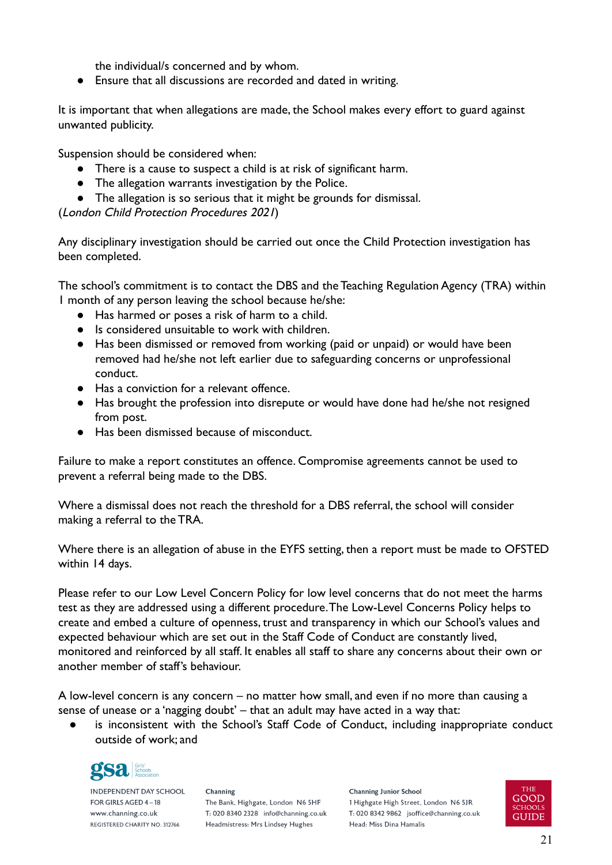the individual/s concerned and by whom.

● Ensure that all discussions are recorded and dated in writing.

It is important that when allegations are made, the School makes every effort to guard against unwanted publicity.

Suspension should be considered when:

- There is a cause to suspect a child is at risk of significant harm.
- The allegation warrants investigation by the Police.
- The allegation is so serious that it might be grounds for dismissal.

(London Child Protection Procedures 2021)

Any disciplinary investigation should be carried out once the Child Protection investigation has been completed.

The school's commitment is to contact the DBS and the Teaching Regulation Agency (TRA) within 1 month of any person leaving the school because he/she:

- Has harmed or poses a risk of harm to a child.
- Is considered unsuitable to work with children.
- Has been dismissed or removed from working (paid or unpaid) or would have been removed had he/she not left earlier due to safeguarding concerns or unprofessional conduct.
- Has a conviction for a relevant offence.
- Has brought the profession into disrepute or would have done had he/she not resigned from post.
- Has been dismissed because of misconduct.

Failure to make a report constitutes an offence. Compromise agreements cannot be used to prevent a referral being made to the DBS.

Where a dismissal does not reach the threshold for a DBS referral, the school will consider making a referral to the TRA.

Where there is an allegation of abuse in the EYFS setting, then a report must be made to OFSTED within 14 days.

Please refer to our Low Level Concern Policy for low level concerns that do not meet the harms test as they are addressed using a different procedure.The Low-Level Concerns Policy helps to create and embed a culture of openness, trust and transparency in which our School's values and expected behaviour which are set out in the Staff Code of Conduct are constantly lived, monitored and reinforced by all staff. It enables all staff to share any concerns about their own or another member of staff's behaviour.

A low-level concern is any concern – no matter how small, and even if no more than causing a sense of unease or a 'nagging doubt' – that an adult may have acted in a way that:

is inconsistent with the School's Staff Code of Conduct, including inappropriate conduct outside of work; and



**INDEPENDENT DAY SCHOOL** FOR GIRLS AGED 4-18 www.channing.co.uk REGISTERED CHARITY NO. 312766

Channing The Bank, Highgate, London N6 5HF T: 020 8340 2328 info@channing.co.uk Headmistress: Mrs Lindsey Hughes

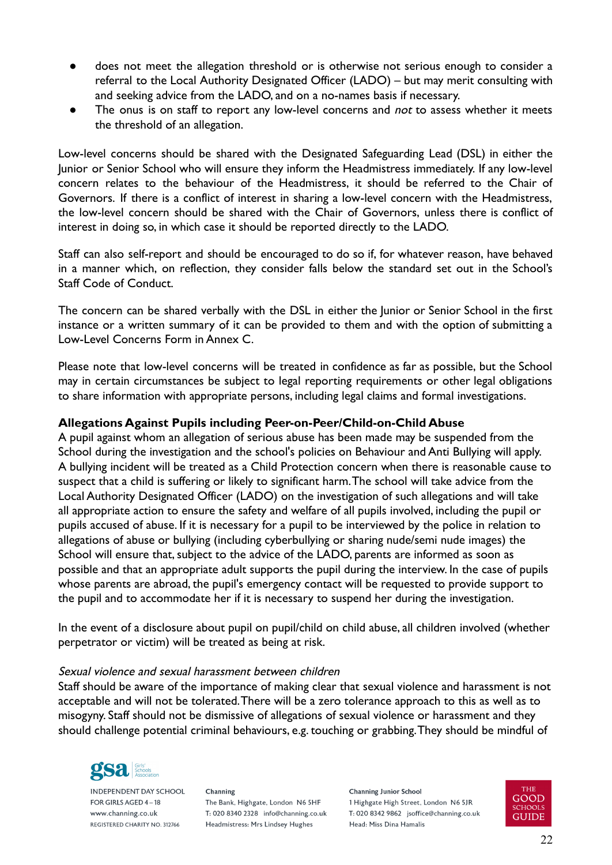- does not meet the allegation threshold or is otherwise not serious enough to consider a referral to the Local Authority Designated Officer (LADO) – but may merit consulting with and seeking advice from the LADO, and on a no-names basis if necessary.
- The onus is on staff to report any low-level concerns and not to assess whether it meets the threshold of an allegation.

Low-level concerns should be shared with the Designated Safeguarding Lead (DSL) in either the Junior or Senior School who will ensure they inform the Headmistress immediately. If any low-level concern relates to the behaviour of the Headmistress, it should be referred to the Chair of Governors. If there is a conflict of interest in sharing a low-level concern with the Headmistress, the low-level concern should be shared with the Chair of Governors, unless there is conflict of interest in doing so, in which case it should be reported directly to the LADO.

Staff can also self-report and should be encouraged to do so if, for whatever reason, have behaved in a manner which, on reflection, they consider falls below the standard set out in the School's Staff Code of Conduct.

The concern can be shared verbally with the DSL in either the Junior or Senior School in the first instance or a written summary of it can be provided to them and with the option of submitting a Low-Level Concerns Form in Annex C.

Please note that low-level concerns will be treated in confidence as far as possible, but the School may in certain circumstances be subject to legal reporting requirements or other legal obligations to share information with appropriate persons, including legal claims and formal investigations.

# <span id="page-21-0"></span>**Allegations Against Pupils including Peer-on-Peer/Child-on-Child Abuse**

A pupil against whom an allegation of serious abuse has been made may be suspended from the School during the investigation and the school's policies on Behaviour and Anti Bullying will apply. A bullying incident will be treated as a Child Protection concern when there is reasonable cause to suspect that a child is suffering or likely to significant harm.The school will take advice from the Local Authority Designated Officer (LADO) on the investigation of such allegations and will take all appropriate action to ensure the safety and welfare of all pupils involved, including the pupil or pupils accused of abuse. If it is necessary for a pupil to be interviewed by the police in relation to allegations of abuse or bullying (including cyberbullying or sharing nude/semi nude images) the School will ensure that, subject to the advice of the LADO, parents are informed as soon as possible and that an appropriate adult supports the pupil during the interview. In the case of pupils whose parents are abroad, the pupil's emergency contact will be requested to provide support to the pupil and to accommodate her if it is necessary to suspend her during the investigation.

In the event of a disclosure about pupil on pupil/child on child abuse, all children involved (whether perpetrator or victim) will be treated as being at risk.

#### Sexual violence and sexual harassment between children

Staff should be aware of the importance of making clear that sexual violence and harassment is not acceptable and will not be tolerated.There will be a zero tolerance approach to this as well as to misogyny. Staff should not be dismissive of allegations of sexual violence or harassment and they should challenge potential criminal behaviours, e.g. touching or grabbing.They should be mindful of



**INDEPENDENT DAY SCHOOL** FOR GIRLS AGED 4-18 www.channing.co.uk REGISTERED CHARITY NO. 312766

Channing The Bank, Highgate, London N6 5HF T: 020 8340 2328 info@channing.co.uk Headmistress: Mrs Lindsey Hughes

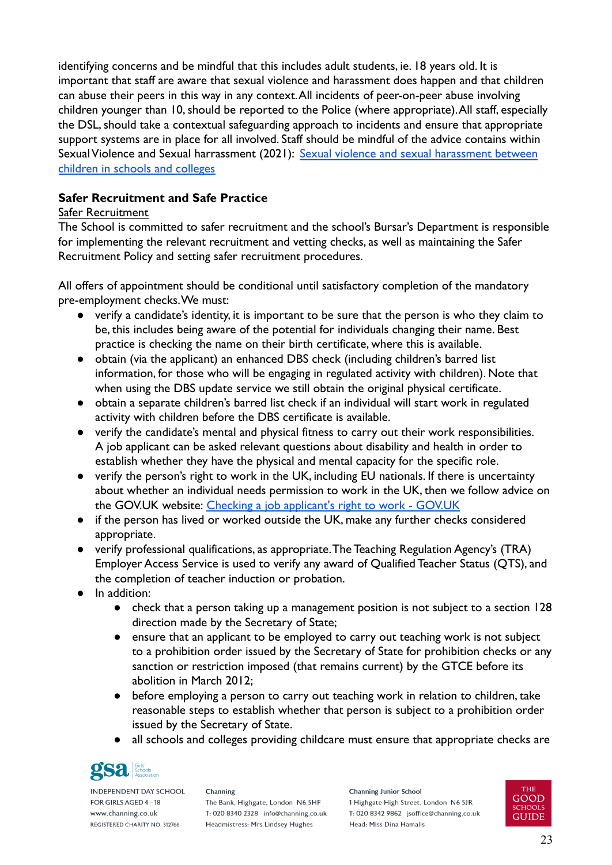identifying concerns and be mindful that this includes adult students, ie. 18 years old. It is important that staff are aware that sexual violence and harassment does happen and that children can abuse their peers in this way in any context.All incidents of peer-on-peer abuse involving children younger than 10, should be reported to the Police (where appropriate).All staff, especially the DSL, should take a contextual safeguarding approach to incidents and ensure that appropriate support systems are in place for all involved. Staff should be mindful of the advice contains within Sexual Violence and Sexual harrassment (2021): Sexual [violence and sexual harassment between](https://assets.publishing.service.gov.uk/government/uploads/system/uploads/attachment_data/file/999239/SVSH_2021.pdf) [children in schools and colleges](https://assets.publishing.service.gov.uk/government/uploads/system/uploads/attachment_data/file/999239/SVSH_2021.pdf)

# <span id="page-22-0"></span>**Safer Recruitment and Safe Practice**

# Safer Recruitment

The School is committed to safer recruitment and the school's Bursar's Department is responsible for implementing the relevant recruitment and vetting checks, as well as maintaining the Safer Recruitment Policy and setting safer recruitment procedures.

All offers of appointment should be conditional until satisfactory completion of the mandatory pre-employment checks.We must:

- verify a candidate's identity, it is important to be sure that the person is who they claim to be, this includes being aware of the potential for individuals changing their name. Best practice is checking the name on their birth certificate, where this is available.
- obtain (via the applicant) an enhanced DBS check (including children's barred list information, for those who will be engaging in regulated activity with children). Note that when using the DBS update service we still obtain the original physical certificate.
- obtain a separate children's barred list check if an individual will start work in regulated activity with children before the DBS certificate is available.
- verify the candidate's mental and physical fitness to carry out their work responsibilities. A job applicant can be asked relevant questions about disability and health in order to establish whether they have the physical and mental capacity for the specific role.
- verify the person's right to work in the UK, including EU nationals. If there is uncertainty about whether an individual needs permission to work in the UK, then we follow advice on the GOV.UK website: [Checking a job applicant's right](https://www.gov.uk/check-job-applicant-right-to-work) to work - GOV.UK
- if the person has lived or worked outside the UK, make any further checks considered appropriate.
- verify professional qualifications, as appropriate.The Teaching Regulation Agency's (TRA) Employer Access Service is used to verify any award of Qualified Teacher Status (QTS), and the completion of teacher induction or probation.
- In addition:
	- check that a person taking up a management position is not subject to a section 128 direction made by the Secretary of State;
	- ensure that an applicant to be employed to carry out teaching work is not subject to a prohibition order issued by the Secretary of State for prohibition checks or any sanction or restriction imposed (that remains current) by the GTCE before its abolition in March 2012;
	- before employing a person to carry out teaching work in relation to children, take reasonable steps to establish whether that person is subject to a prohibition order issued by the Secretary of State.
	- all schools and colleges providing childcare must ensure that appropriate checks are



**INDEPENDENT DAY SCHOOL** FOR GIRLS AGED 4-18 www.channing.co.uk REGISTERED CHARITY NO. 312766

Channing The Bank, Highgate, London N6 5HF T: 020 8340 2328 info@channing.co.uk Headmistress: Mrs Lindsey Hughes

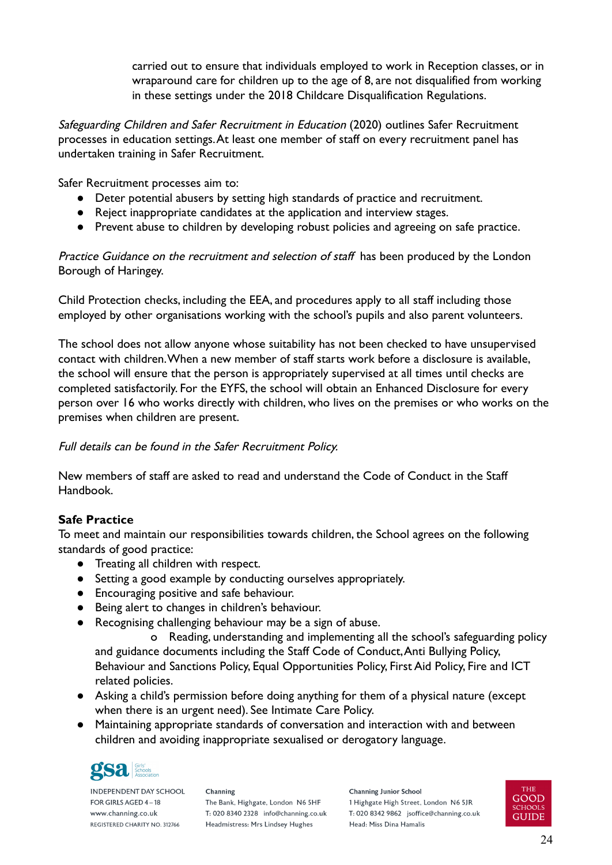carried out to ensure that individuals employed to work in Reception classes, or in wraparound care for children up to the age of 8, are not disqualified from working in these settings under the 2018 Childcare Disqualification Regulations.

Safeguarding Children and Safer Recruitment in Education (2020) outlines Safer Recruitment processes in education settings.At least one member of staff on every recruitment panel has undertaken training in Safer Recruitment.

Safer Recruitment processes aim to:

- Deter potential abusers by setting high standards of practice and recruitment.
- Reject inappropriate candidates at the application and interview stages.
- Prevent abuse to children by developing robust policies and agreeing on safe practice.

Practice Guidance on the recruitment and selection of staff has been produced by the London Borough of Haringey.

Child Protection checks, including the EEA, and procedures apply to all staff including those employed by other organisations working with the school's pupils and also parent volunteers.

The school does not allow anyone whose suitability has not been checked to have unsupervised contact with children.When a new member of staff starts work before a disclosure is available, the school will ensure that the person is appropriately supervised at all times until checks are completed satisfactorily. For the EYFS, the school will obtain an Enhanced Disclosure for every person over 16 who works directly with children, who lives on the premises or who works on the premises when children are present.

# Full details can be found in the Safer Recruitment Policy.

New members of staff are asked to read and understand the Code of Conduct in the Staff Handbook.

# <span id="page-23-0"></span>**Safe Practice**

To meet and maintain our responsibilities towards children, the School agrees on the following standards of good practice:

- Treating all children with respect.
- Setting a good example by conducting ourselves appropriately.
- Encouraging positive and safe behaviour.
- Being alert to changes in children's behaviour.
- Recognising challenging behaviour may be a sign of abuse.

o Reading, understanding and implementing all the school's safeguarding policy and guidance documents including the Staff Code of Conduct,Anti Bullying Policy, Behaviour and Sanctions Policy, Equal Opportunities Policy, First Aid Policy, Fire and ICT related policies.

- Asking a child's permission before doing anything for them of a physical nature (except when there is an urgent need). See Intimate Care Policy.
- Maintaining appropriate standards of conversation and interaction with and between children and avoiding inappropriate sexualised or derogatory language.



**INDEPENDENT DAY SCHOOL** FOR GIRLS AGED 4-18 www.channing.co.uk REGISTERED CHARITY NO. 312766

Channing The Bank, Highgate, London N6 5HF T: 020 8340 2328 info@channing.co.uk Headmistress: Mrs Lindsey Hughes

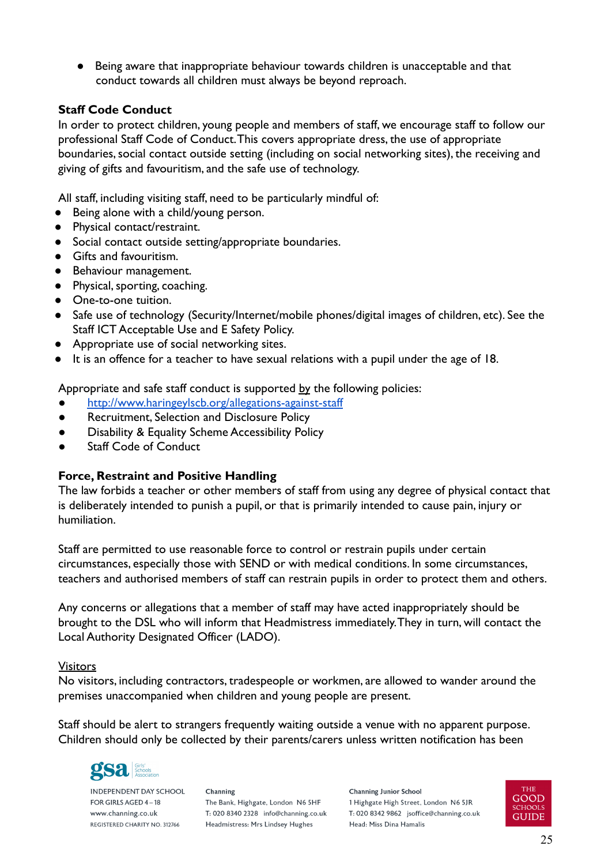Being aware that inappropriate behaviour towards children is unacceptable and that conduct towards all children must always be beyond reproach.

### <span id="page-24-0"></span>**Staff Code Conduct**

In order to protect children, young people and members of staff, we encourage staff to follow our professional Staff Code of Conduct.This covers appropriate dress, the use of appropriate boundaries, social contact outside setting (including on social networking sites), the receiving and giving of gifts and favouritism, and the safe use of technology.

All staff, including visiting staff, need to be particularly mindful of:

- Being alone with a child/young person.
- Physical contact/restraint.
- Social contact outside setting/appropriate boundaries.
- Gifts and favouritism.
- Behaviour management.
- Physical, sporting, coaching.
- One-to-one tuition.
- Safe use of technology (Security/Internet/mobile phones/digital images of children, etc). See the Staff ICT Acceptable Use and E Safety Policy.
- Appropriate use of social networking sites.
- It is an offence for a teacher to have sexual relations with a pupil under the age of 18.

Appropriate and safe staff conduct is supported by the following policies:

- <http://www.haringeylscb.org/allegations-against-staff>
- **Recruitment, Selection and Disclosure Policy**
- Disability & Equality Scheme Accessibility Policy
- **Staff Code of Conduct**

# <span id="page-24-1"></span>**Force, Restraint and Positive Handling**

The law forbids a teacher or other members of staff from using any degree of physical contact that is deliberately intended to punish a pupil, or that is primarily intended to cause pain, injury or humiliation.

Staff are permitted to use reasonable force to control or restrain pupils under certain circumstances, especially those with SEND or with medical conditions. In some circumstances, teachers and authorised members of staff can restrain pupils in order to protect them and others.

Any concerns or allegations that a member of staff may have acted inappropriately should be brought to the DSL who will inform that Headmistress immediately.They in turn, will contact the Local Authority Designated Officer (LADO).

#### Visitors

No visitors, including contractors, tradespeople or workmen, are allowed to wander around the premises unaccompanied when children and young people are present.

Staff should be alert to strangers frequently waiting outside a venue with no apparent purpose. Children should only be collected by their parents/carers unless written notification has been



**INDEPENDENT DAY SCHOOL** FOR GIRLS AGED 4-18 www.channing.co.uk REGISTERED CHARITY NO. 312766

Channing The Bank, Highgate, London N6 5HF T: 020 8340 2328 info@channing.co.uk Headmistress: Mrs Lindsey Hughes

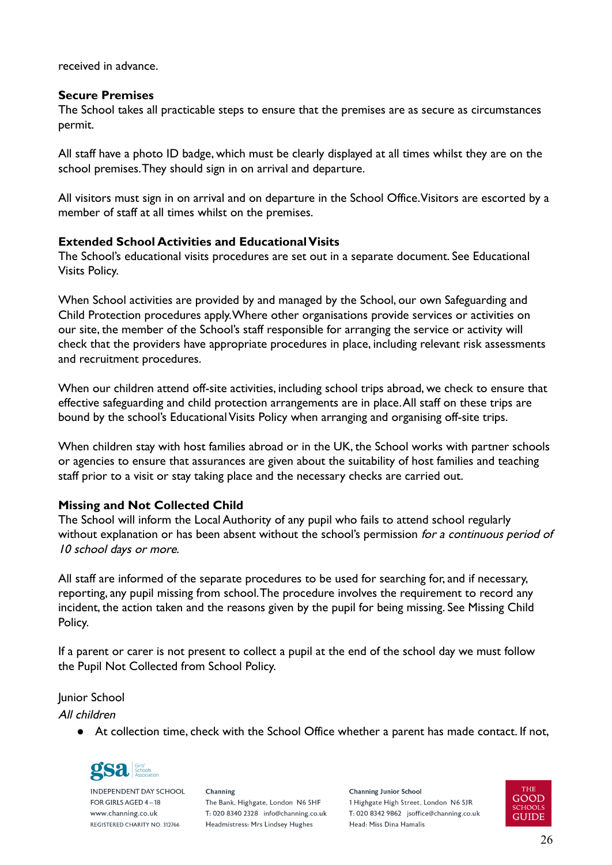received in advance.

#### <span id="page-25-0"></span>**Secure Premises**

The School takes all practicable steps to ensure that the premises are as secure as circumstances permit.

All staff have a photo ID badge, which must be clearly displayed at all times whilst they are on the school premises.They should sign in on arrival and departure.

All visitors must sign in on arrival and on departure in the School Office.Visitors are escorted by a member of staff at all times whilst on the premises.

# <span id="page-25-1"></span>**Extended School Activities and Educational Visits**

The School's educational visits procedures are set out in a separate document. See Educational Visits Policy.

When School activities are provided by and managed by the School, our own Safeguarding and Child Protection procedures apply.Where other organisations provide services or activities on our site, the member of the School's staff responsible for arranging the service or activity will check that the providers have appropriate procedures in place, including relevant risk assessments and recruitment procedures.

When our children attend off-site activities, including school trips abroad, we check to ensure that effective safeguarding and child protection arrangements are in place.All staff on these trips are bound by the school's Educational Visits Policy when arranging and organising off-site trips.

When children stay with host families abroad or in the UK, the School works with partner schools or agencies to ensure that assurances are given about the suitability of host families and teaching staff prior to a visit or stay taking place and the necessary checks are carried out.

# <span id="page-25-2"></span>**Missing and Not Collected Child**

The School will inform the Local Authority of any pupil who fails to attend school regularly without explanation or has been absent without the school's permission for a continuous period of 10 school days or more.

All staff are informed of the separate procedures to be used for searching for, and if necessary, reporting, any pupil missing from school.The procedure involves the requirement to record any incident, the action taken and the reasons given by the pupil for being missing. See Missing Child Policy.

If a parent or carer is not present to collect a pupil at the end of the school day we must follow the Pupil Not Collected from School Policy.

Junior School

All children

● At collection time, check with the School Office whether a parent has made contact. If not,



**INDEPENDENT DAY SCHOOL** FOR GIRLS AGED 4-18 www.channing.co.uk REGISTERED CHARITY NO. 312766

Channing The Bank, Highgate, London N6 5HF T: 020 8340 2328 info@channing.co.uk Headmistress: Mrs Lindsey Hughes

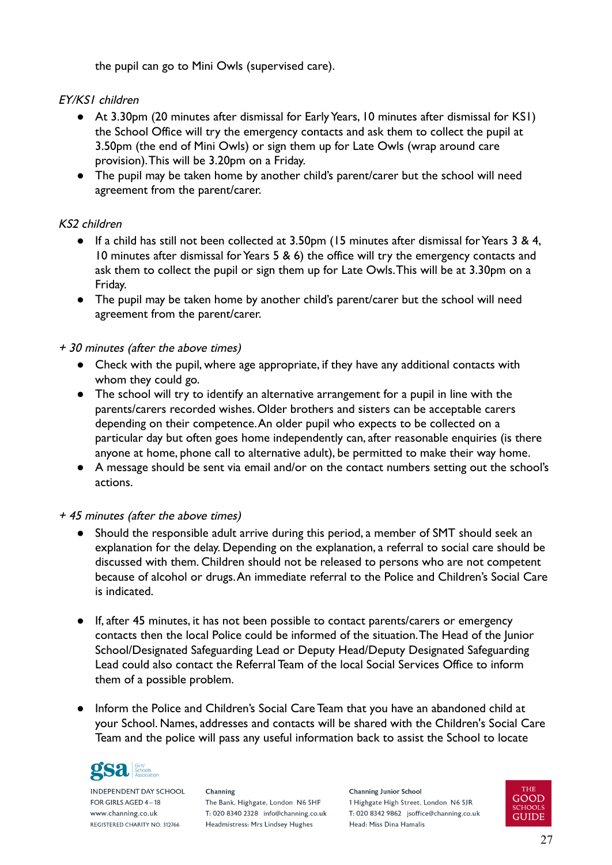the pupil can go to Mini Owls (supervised care).

# EY/KS1 children

- At 3.30pm (20 minutes after dismissal for Early Years, 10 minutes after dismissal for KS1) the School Office will try the emergency contacts and ask them to collect the pupil at 3.50pm (the end of Mini Owls) or sign them up for Late Owls (wrap around care provision).This will be 3.20pm on a Friday.
- The pupil may be taken home by another child's parent/carer but the school will need agreement from the parent/carer.

# KS2 children

- If a child has still not been collected at 3.50pm (15 minutes after dismissal for Years 3 & 4, 10 minutes after dismissal for Years 5 & 6) the office will try the emergency contacts and ask them to collect the pupil or sign them up for Late Owls.This will be at 3.30pm on a Friday.
- The pupil may be taken home by another child's parent/carer but the school will need agreement from the parent/carer.

# + 30 minutes (after the above times)

- Check with the pupil, where age appropriate, if they have any additional contacts with whom they could go.
- The school will try to identify an alternative arrangement for a pupil in line with the parents/carers recorded wishes. Older brothers and sisters can be acceptable carers depending on their competence.An older pupil who expects to be collected on a particular day but often goes home independently can, after reasonable enquiries (is there anyone at home, phone call to alternative adult), be permitted to make their way home.
- A message should be sent via email and/or on the contact numbers setting out the school's actions.

# + 45 minutes (after the above times)

- Should the responsible adult arrive during this period, a member of SMT should seek an explanation for the delay. Depending on the explanation, a referral to social care should be discussed with them. Children should not be released to persons who are not competent because of alcohol or drugs.An immediate referral to the Police and Children's Social Care is indicated.
- If, after 45 minutes, it has not been possible to contact parents/carers or emergency contacts then the local Police could be informed of the situation.The Head of the Junior School/Designated Safeguarding Lead or Deputy Head/Deputy Designated Safeguarding Lead could also contact the Referral Team of the local Social Services Office to inform them of a possible problem.
- Inform the Police and Children's Social Care Team that you have an abandoned child at your School. Names, addresses and contacts will be shared with the Children's Social Care Team and the police will pass any useful information back to assist the School to locate



**INDEPENDENT DAY SCHOOL** FOR GIRLS AGED 4-18 www.channing.co.uk REGISTERED CHARITY NO. 312766

Channing The Bank, Highgate, London N6 5HF T: 020 8340 2328 info@channing.co.uk Headmistress: Mrs Lindsey Hughes

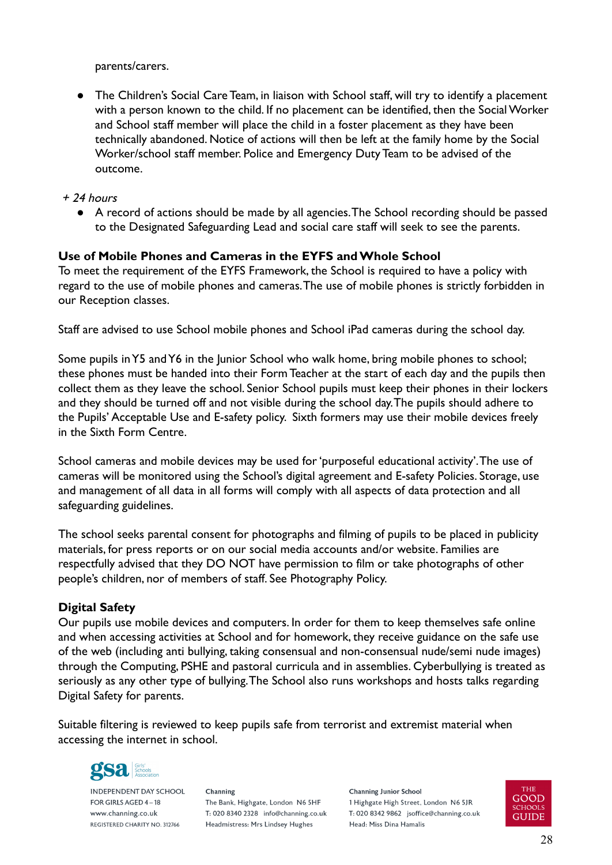parents/carers.

● The Children's Social Care Team, in liaison with School staff, will try to identify a placement with a person known to the child. If no placement can be identified, then the Social Worker and School staff member will place the child in a foster placement as they have been technically abandoned. Notice of actions will then be left at the family home by the Social Worker/school staff member. Police and Emergency Duty Team to be advised of the outcome.

### + 24 hours

● A record of actions should be made by all agencies.The School recording should be passed to the Designated Safeguarding Lead and social care staff will seek to see the parents.

#### <span id="page-27-0"></span>**Use of Mobile Phones and Cameras in the EYFS and Whole School**

To meet the requirement of the EYFS Framework, the School is required to have a policy with regard to the use of mobile phones and cameras.The use of mobile phones is strictly forbidden in our Reception classes.

Staff are advised to use School mobile phones and School iPad cameras during the school day.

Some pupils in Y5 and Y6 in the Junior School who walk home, bring mobile phones to school; these phones must be handed into their Form Teacher at the start of each day and the pupils then collect them as they leave the school. Senior School pupils must keep their phones in their lockers and they should be turned off and not visible during the school day.The pupils should adhere to the Pupils' Acceptable Use and E-safety policy. Sixth formers may use their mobile devices freely in the Sixth Form Centre.

School cameras and mobile devices may be used for 'purposeful educational activity'.The use of cameras will be monitored using the School's digital agreement and E-safety Policies. Storage, use and management of all data in all forms will comply with all aspects of data protection and all safeguarding guidelines.

The school seeks parental consent for photographs and filming of pupils to be placed in publicity materials, for press reports or on our social media accounts and/or website. Families are respectfully advised that they DO NOT have permission to film or take photographs of other people's children, nor of members of staff. See Photography Policy.

#### <span id="page-27-1"></span>**Digital Safety**

Our pupils use mobile devices and computers. In order for them to keep themselves safe online and when accessing activities at School and for homework, they receive guidance on the safe use of the web (including anti bullying, taking consensual and non-consensual nude/semi nude images) through the Computing, PSHE and pastoral curricula and in assemblies. Cyberbullying is treated as seriously as any other type of bullying.The School also runs workshops and hosts talks regarding Digital Safety for parents.

Suitable filtering is reviewed to keep pupils safe from terrorist and extremist material when accessing the internet in school.



**INDEPENDENT DAY SCHOOL** FOR GIRLS AGED 4-18 www.channing.co.uk REGISTERED CHARITY NO. 312766

Channing The Bank, Highgate, London N6 5HF T: 020 8340 2328 info@channing.co.uk Headmistress: Mrs Lindsey Hughes

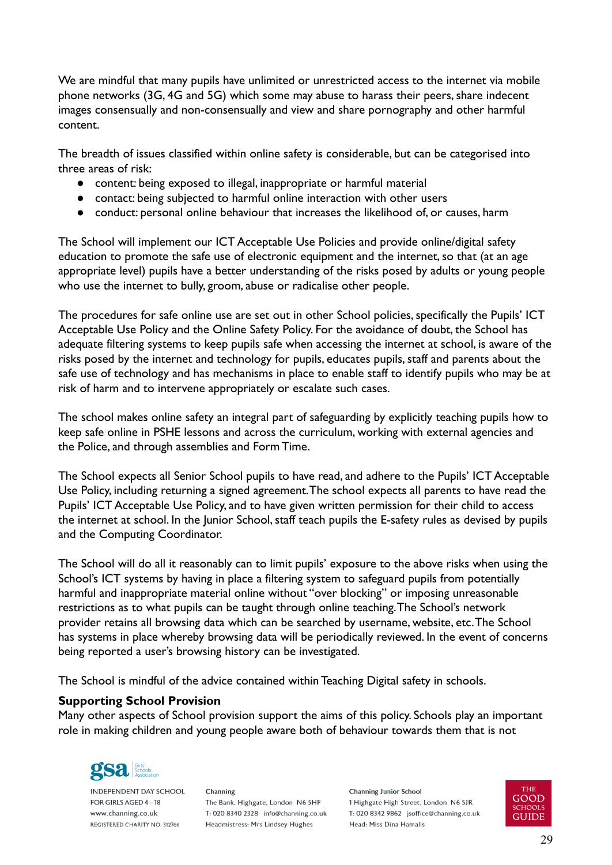We are mindful that many pupils have unlimited or unrestricted access to the internet via mobile phone networks (3G, 4G and 5G) which some may abuse to harass their peers, share indecent images consensually and non-consensually and view and share pornography and other harmful content.

The breadth of issues classified within online safety is considerable, but can be categorised into three areas of risk:

- content: being exposed to illegal, inappropriate or harmful material
- contact: being subjected to harmful online interaction with other users
- conduct: personal online behaviour that increases the likelihood of, or causes, harm

The School will implement our ICT Acceptable Use Policies and provide online/digital safety education to promote the safe use of electronic equipment and the internet, so that (at an age appropriate level) pupils have a better understanding of the risks posed by adults or young people who use the internet to bully, groom, abuse or radicalise other people.

The procedures for safe online use are set out in other School policies, specifically the Pupils' ICT Acceptable Use Policy and the Online Safety Policy. For the avoidance of doubt, the School has adequate filtering systems to keep pupils safe when accessing the internet at school, is aware of the risks posed by the internet and technology for pupils, educates pupils, staff and parents about the safe use of technology and has mechanisms in place to enable staff to identify pupils who may be at risk of harm and to intervene appropriately or escalate such cases.

The school makes online safety an integral part of safeguarding by explicitly teaching pupils how to keep safe online in PSHE lessons and across the curriculum, working with external agencies and the Police, and through assemblies and Form Time.

The School expects all Senior School pupils to have read, and adhere to the Pupils' ICT Acceptable Use Policy, including returning a signed agreement.The school expects all parents to have read the Pupils' ICT Acceptable Use Policy, and to have given written permission for their child to access the internet at school. In the Junior School, staff teach pupils the E-safety rules as devised by pupils and the Computing Coordinator.

The School will do all it reasonably can to limit pupils' exposure to the above risks when using the School's ICT systems by having in place a filtering system to safeguard pupils from potentially harmful and inappropriate material online without "over blocking" or imposing unreasonable restrictions as to what pupils can be taught through online teaching.The School's network provider retains all browsing data which can be searched by username, website, etc.The School has systems in place whereby browsing data will be periodically reviewed. In the event of concerns being reported a user's browsing history can be investigated.

The School is mindful of the advice contained within Teaching Digital safety in schools.

# <span id="page-28-0"></span>**Supporting School Provision**

Many other aspects of School provision support the aims of this policy. Schools play an important role in making children and young people aware both of behaviour towards them that is not



**INDEPENDENT DAY SCHOOL** FOR GIRLS AGED 4-18 www.channing.co.uk REGISTERED CHARITY NO. 312766

Channing The Bank, Highgate, London N6 5HF T: 020 8340 2328 info@channing.co.uk Headmistress: Mrs Lindsey Hughes

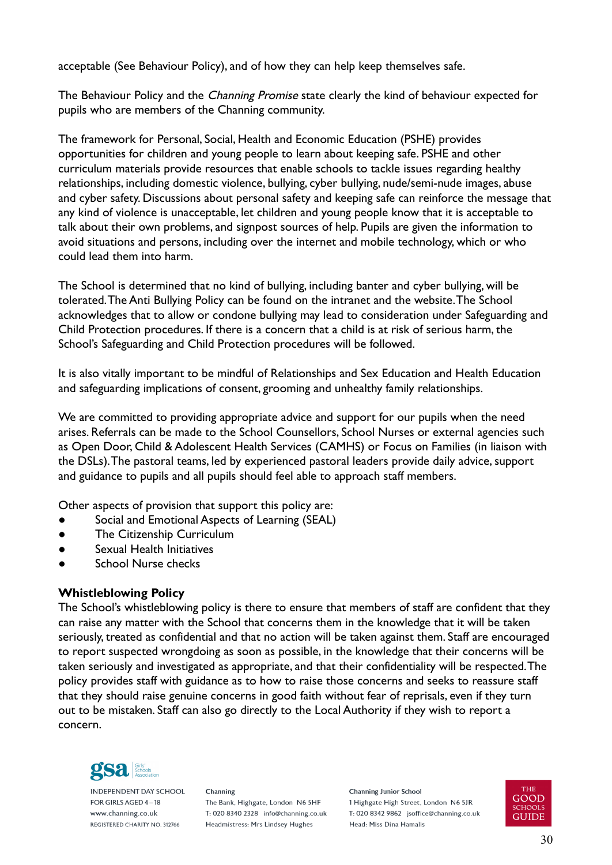acceptable (See Behaviour Policy), and of how they can help keep themselves safe.

The Behaviour Policy and the *Channing Promise* state clearly the kind of behaviour expected for pupils who are members of the Channing community.

The framework for Personal, Social, Health and Economic Education (PSHE) provides opportunities for children and young people to learn about keeping safe. PSHE and other curriculum materials provide resources that enable schools to tackle issues regarding healthy relationships, including domestic violence, bullying, cyber bullying, nude/semi-nude images, abuse and cyber safety. Discussions about personal safety and keeping safe can reinforce the message that any kind of violence is unacceptable, let children and young people know that it is acceptable to talk about their own problems, and signpost sources of help. Pupils are given the information to avoid situations and persons, including over the internet and mobile technology, which or who could lead them into harm.

The School is determined that no kind of bullying, including banter and cyber bullying, will be tolerated.The Anti Bullying Policy can be found on the intranet and the website.The School acknowledges that to allow or condone bullying may lead to consideration under Safeguarding and Child Protection procedures. If there is a concern that a child is at risk of serious harm, the School's Safeguarding and Child Protection procedures will be followed.

It is also vitally important to be mindful of Relationships and Sex Education and Health Education and safeguarding implications of consent, grooming and unhealthy family relationships.

We are committed to providing appropriate advice and support for our pupils when the need arises. Referrals can be made to the School Counsellors, School Nurses or external agencies such as Open Door, Child & Adolescent Health Services (CAMHS) or Focus on Families (in liaison with the DSLs).The pastoral teams, led by experienced pastoral leaders provide daily advice, support and guidance to pupils and all pupils should feel able to approach staff members.

Other aspects of provision that support this policy are:

- Social and Emotional Aspects of Learning (SEAL)
- The Citizenship Curriculum
- Sexual Health Initiatives
- School Nurse checks

# <span id="page-29-0"></span>**Whistleblowing Policy**

The School's whistleblowing policy is there to ensure that members of staff are confident that they can raise any matter with the School that concerns them in the knowledge that it will be taken seriously, treated as confidential and that no action will be taken against them. Staff are encouraged to report suspected wrongdoing as soon as possible, in the knowledge that their concerns will be taken seriously and investigated as appropriate, and that their confidentiality will be respected.The policy provides staff with guidance as to how to raise those concerns and seeks to reassure staff that they should raise genuine concerns in good faith without fear of reprisals, even if they turn out to be mistaken. Staff can also go directly to the Local Authority if they wish to report a concern.



**INDEPENDENT DAY SCHOOL** FOR GIRLS AGED 4-18 www.channing.co.uk REGISTERED CHARITY NO. 312766

Channing The Bank, Highgate, London N6 5HF T: 020 8340 2328 info@channing.co.uk Headmistress: Mrs Lindsey Hughes

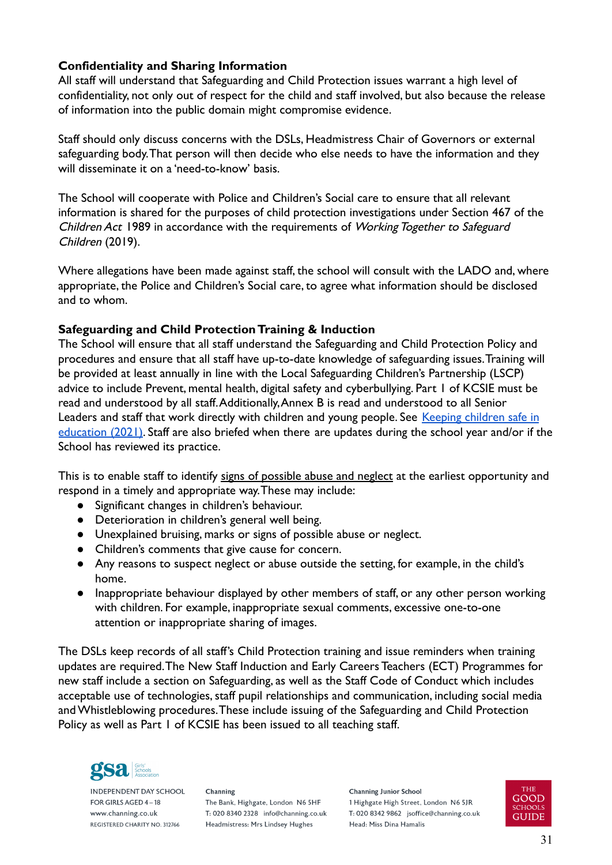# <span id="page-30-0"></span>**Confidentiality and Sharing Information**

All staff will understand that Safeguarding and Child Protection issues warrant a high level of confidentiality, not only out of respect for the child and staff involved, but also because the release of information into the public domain might compromise evidence.

Staff should only discuss concerns with the DSLs, Headmistress Chair of Governors or external safeguarding body.That person will then decide who else needs to have the information and they will disseminate it on a 'need-to-know' basis.

The School will cooperate with Police and Children's Social care to ensure that all relevant information is shared for the purposes of child protection investigations under Section 467 of the Children Act 1989 in accordance with the requirements of Working Together to Safeguard Children (2019).

Where allegations have been made against staff, the school will consult with the LADO and, where appropriate, the Police and Children's Social care, to agree what information should be disclosed and to whom.

#### <span id="page-30-1"></span>**Safeguarding and Child Protection Training & Induction**

The School will ensure that all staff understand the Safeguarding and Child Protection Policy and procedures and ensure that all staff have up-to-date knowledge of safeguarding issues.Training will be provided at least annually in line with the Local Safeguarding Children's Partnership (LSCP) advice to include Prevent, mental health, digital safety and cyberbullying. Part 1 of KCSIE must be read and understood by all staff.Additionally,Annex B is read and understood to all Senior Leaders and staff that work directly with children and young people. See [Keeping children safe in](https://www.gov.uk/government/publications/keeping-children-safe-in-education--2) [education \(2021\)](https://www.gov.uk/government/publications/keeping-children-safe-in-education--2). Staff are also briefed when there are updates during the school year and/or if the School has reviewed its practice.

This is to enable staff to identify signs of possible abuse and neglect at the earliest opportunity and respond in a timely and appropriate way.These may include:

- Significant changes in children's behaviour.
- Deterioration in children's general well being.
- Unexplained bruising, marks or signs of possible abuse or neglect.
- Children's comments that give cause for concern.
- Any reasons to suspect neglect or abuse outside the setting, for example, in the child's home.
- Inappropriate behaviour displayed by other members of staff, or any other person working with children. For example, inappropriate sexual comments, excessive one-to-one attention or inappropriate sharing of images.

The DSLs keep records of all staff's Child Protection training and issue reminders when training updates are required.The New Staff Induction and Early Careers Teachers (ECT) Programmes for new staff include a section on Safeguarding, as well as the Staff Code of Conduct which includes acceptable use of technologies, staff pupil relationships and communication, including social media and Whistleblowing procedures.These include issuing of the Safeguarding and Child Protection Policy as well as Part 1 of KCSIE has been issued to all teaching staff.



**INDEPENDENT DAY SCHOOL** FOR GIRLS AGED 4-18 www.channing.co.uk REGISTERED CHARITY NO. 312766

Channing The Bank, Highgate, London N6 5HF T: 020 8340 2328 info@channing.co.uk Headmistress: Mrs Lindsey Hughes

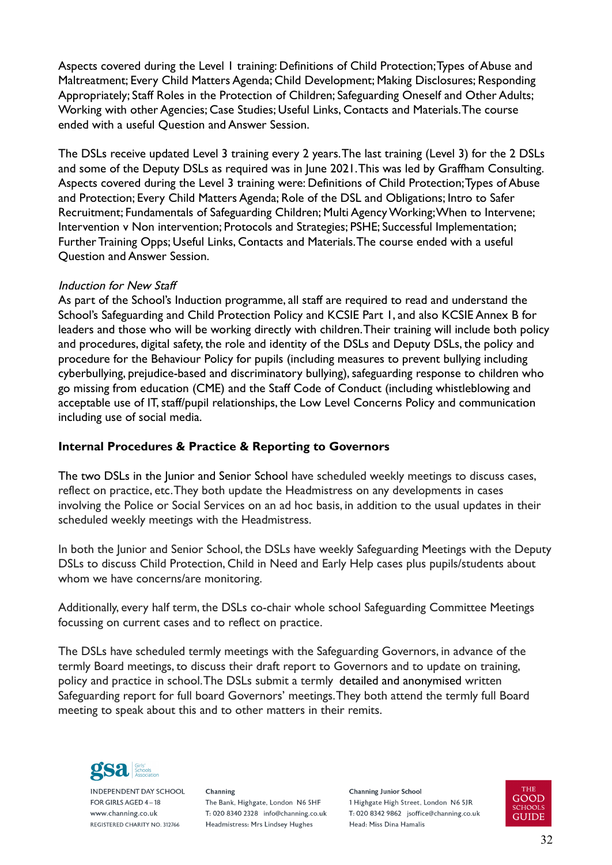Aspects covered during the Level 1 training: Definitions of Child Protection;Types of Abuse and Maltreatment; Every Child Matters Agenda; Child Development; Making Disclosures; Responding Appropriately; Staff Roles in the Protection of Children; Safeguarding Oneself and Other Adults; Working with other Agencies; Case Studies; Useful Links, Contacts and Materials.The course ended with a useful Question and Answer Session.

The DSLs receive updated Level 3 training every 2 years.The last training (Level 3) for the 2 DSLs and some of the Deputy DSLs as required was in June 2021.This was led by Graffham Consulting. Aspects covered during the Level 3 training were: Definitions of Child Protection;Types of Abuse and Protection; Every Child Matters Agenda; Role of the DSL and Obligations; Intro to Safer Recruitment; Fundamentals of Safeguarding Children; Multi Agency Working;When to Intervene; Intervention v Non intervention; Protocols and Strategies; PSHE; Successful Implementation; Further Training Opps; Useful Links, Contacts and Materials.The course ended with a useful Question and Answer Session.

#### Induction for New Staff

As part of the School's Induction programme, all staff are required to read and understand the School's Safeguarding and Child Protection Policy and KCSIE Part 1, and also KCSIE Annex B for leaders and those who will be working directly with children.Their training will include both policy and procedures, digital safety, the role and identity of the DSLs and Deputy DSLs, the policy and procedure for the Behaviour Policy for pupils (including measures to prevent bullying including cyberbullying, prejudice-based and discriminatory bullying), safeguarding response to children who go missing from education (CME) and the Staff Code of Conduct (including whistleblowing and acceptable use of IT, staff/pupil relationships, the Low Level Concerns Policy and communication including use of social media.

# <span id="page-31-0"></span>**Internal Procedures & Practice & Reporting to Governors**

The two DSLs in the Junior and Senior School have scheduled weekly meetings to discuss cases, reflect on practice, etc.They both update the Headmistress on any developments in cases involving the Police or Social Services on an ad hoc basis, in addition to the usual updates in their scheduled weekly meetings with the Headmistress.

In both the Junior and Senior School, the DSLs have weekly Safeguarding Meetings with the Deputy DSLs to discuss Child Protection, Child in Need and Early Help cases plus pupils/students about whom we have concerns/are monitoring.

Additionally, every half term, the DSLs co-chair whole school Safeguarding Committee Meetings focussing on current cases and to reflect on practice.

The DSLs have scheduled termly meetings with the Safeguarding Governors, in advance of the termly Board meetings, to discuss their draft report to Governors and to update on training, policy and practice in school.The DSLs submit a termly detailed and anonymised written Safeguarding report for full board Governors' meetings.They both attend the termly full Board meeting to speak about this and to other matters in their remits.



**INDEPENDENT DAY SCHOOL** FOR GIRLS AGED 4-18 www.channing.co.uk REGISTERED CHARITY NO. 312766

Channing The Bank, Highgate, London N6 5HF T: 020 8340 2328 info@channing.co.uk Headmistress: Mrs Lindsey Hughes

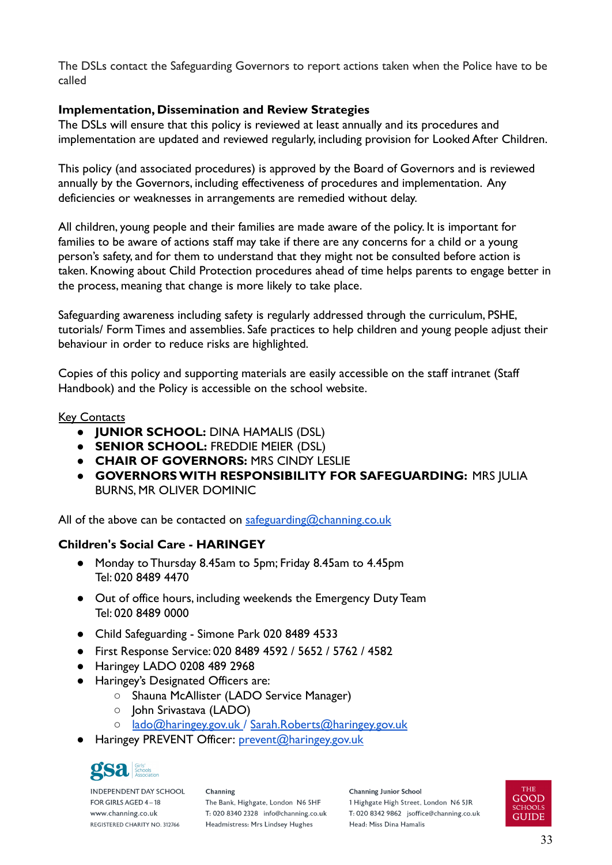The DSLs contact the Safeguarding Governors to report actions taken when the Police have to be called

# <span id="page-32-0"></span>**Implementation, Dissemination and Review Strategies**

The DSLs will ensure that this policy is reviewed at least annually and its procedures and implementation are updated and reviewed regularly, including provision for Looked After Children.

This policy (and associated procedures) is approved by the Board of Governors and is reviewed annually by the Governors, including effectiveness of procedures and implementation. Any deficiencies or weaknesses in arrangements are remedied without delay.

All children, young people and their families are made aware of the policy. It is important for families to be aware of actions staff may take if there are any concerns for a child or a young person's safety, and for them to understand that they might not be consulted before action is taken. Knowing about Child Protection procedures ahead of time helps parents to engage better in the process, meaning that change is more likely to take place.

Safeguarding awareness including safety is regularly addressed through the curriculum, PSHE, tutorials/ Form Times and assemblies. Safe practices to help children and young people adjust their behaviour in order to reduce risks are highlighted.

Copies of this policy and supporting materials are easily accessible on the staff intranet (Staff Handbook) and the Policy is accessible on the school website.

# <span id="page-32-1"></span>**Key Contacts**

- **JUNIOR SCHOOL:** DINA HAMALIS (DSL)
- **SENIOR SCHOOL:** FREDDIE MEIER (DSL)
- **CHAIR OF GOVERNORS:** MRS CINDY LESLIE
- **GOVERNORS WITH RESPONSIBILITY FOR SAFEGUARDING:** MRS JULIA BURNS, MR OLIVER DOMINIC

All of the above can be contacted on [safeguarding@channing.co.uk](mailto:safeguarding@channing.co.uk)

# **Children's Social Care - HARINGEY**

- Monday to Thursday 8.45am to 5pm; Friday 8.45am to 4.45pm Tel: 020 8489 4470
- Out of office hours, including weekends the Emergency Duty Team Tel: 020 8489 0000
- Child Safeguarding Simone Park 020 8489 4533
- First Response Service: 020 8489 4592 / 5652 / 5762 / 4582
- Haringey LADO 0208 489 2968
- Haringey's Designated Officers are:
	- Shauna McAllister (LADO Service Manager)
	- John Srivastava (LADO)
	- lado@haringey.gov.uk / [Sarah.Roberts@haringey.gov.uk](http://haringey.gov.uk/Sarah.Roberts@haringey.gov.uk)
- Haringey PREVENT Officer: [prevent@haringey.gov.uk](mailto:prevent@haringey.gov.uk)



**INDEPENDENT DAY SCHOOL** FOR GIRLS AGED 4-18 www.channing.co.uk REGISTERED CHARITY NO. 312766

Channing The Bank, Highgate, London N6 5HF T: 020 8340 2328 info@channing.co.uk Headmistress: Mrs Lindsey Hughes

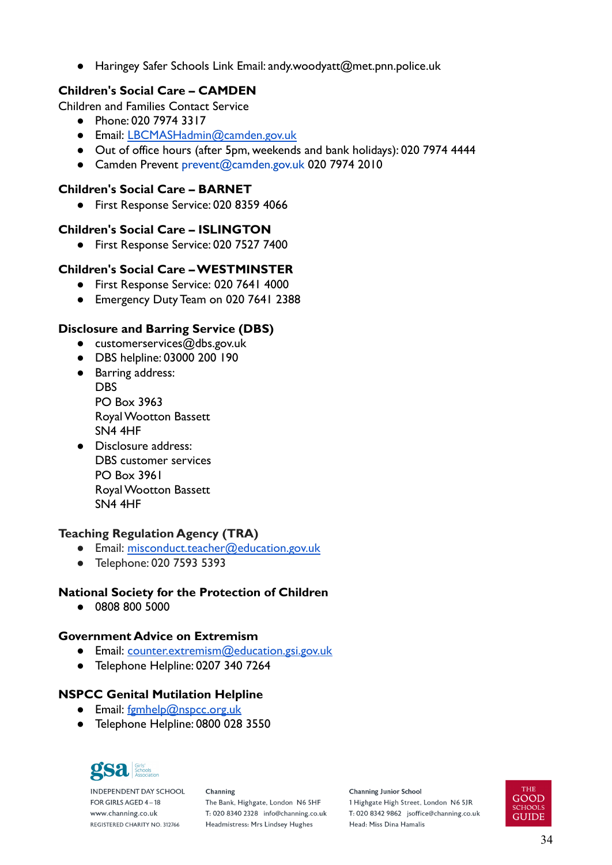Haringey Safer Schools Link Email: andy.woodyatt@met.pnn.police.uk

# **Children's Social Care – CAMDEN**

Children and Families Contact Service

- Phone: 020 7974 3317
- Email: [LBCMASHadmin@camden.gov.uk](mailto:LBCMASHadmin@camden.gov.uk)
- Out of office hours (after 5pm, weekends and bank holidays): 020 7974 4444
- Camden Prevent prevent@camden.gov.uk 020 7974 2010

# **Children's Social Care – BARNET**

● First Response Service: 020 8359 4066

# **Children's Social Care – ISLINGTON**

● First Response Service: 020 7527 7400

# **Children's Social Care – WESTMINSTER**

- First Response Service: 020 7641 4000
- Emergency Duty Team on 020 7641 2388

# **Disclosure and Barring Service (DBS)**

- $\bullet$  customerservices@dbs.gov.uk
- DBS helpline: 03000 200 190
- Barring address: **DBS** PO Box 3963 Royal Wootton Bassett SN4 4HF
- Disclosure address: DBS customer services PO Box 3961 Royal Wootton Bassett SN4 4HF

# **Teaching Regulation Agency (TRA)**

- Email: [misconduct.teacher@education.gov.uk](mailto:misconduct.teacher@education.gov.uk)
- Telephone: 020 7593 5393

# **National Society for the Protection of Children**

● 0808 800 5000

#### **Government Advice on Extremism**

- Email: [counter.extremism@education.gsi.gov.uk](mailto:counter.extremism@education.gsi.gov.uk)
- Telephone Helpline: 0207 340 7264

# **NSPCC Genital Mutilation Helpline**

- Email: [fgmhelp@nspcc.org.uk](mailto:fgmhelp@nspcc.org.uk)
- Telephone Helpline: 0800 028 3550



**INDEPENDENT DAY SCHOOL** FOR GIRLS AGED 4-18 www.channing.co.uk REGISTERED CHARITY NO. 312766

Channing The Bank, Highgate, London N6 5HF T: 020 8340 2328 info@channing.co.uk Headmistress: Mrs Lindsey Hughes

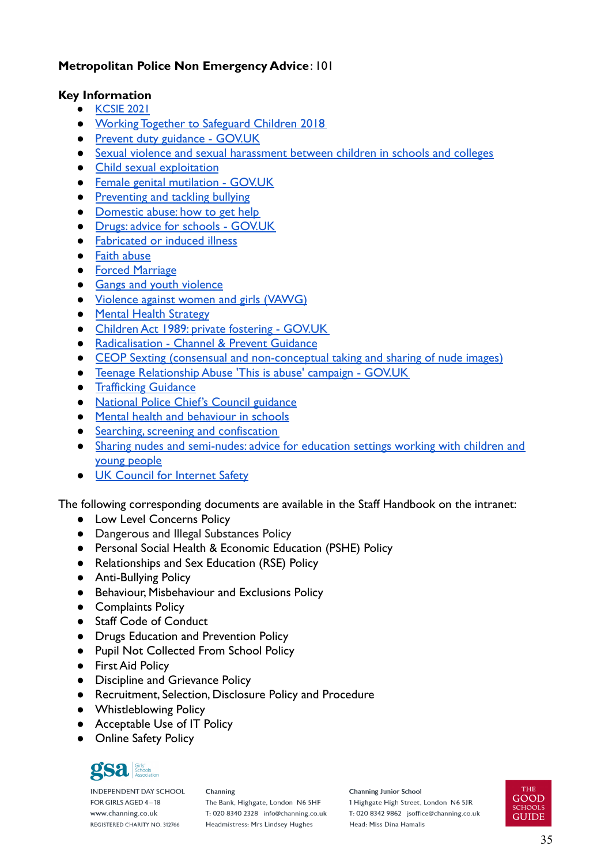# **Metropolitan Police Non Emergency Advice**: 101

#### <span id="page-34-0"></span>**Key Information**

- [KCSIE](https://assets.publishing.service.gov.uk/government/uploads/system/uploads/attachment_data/file/1014057/KCSIE_2021_September.pdf) 2021
- [Working Together to Safeguard Children 2018](https://assets.publishing.service.gov.uk/government/uploads/system/uploads/attachment_data/file/779401/Working_Together_to_Safeguard-Children.pdf)
- [Prevent duty guidance GOV.UK](https://www.gov.uk/government/publications/prevent-duty-guidance)
- [Sexual violence and sexual harassment between children in schools and colleges](https://assets.publishing.service.gov.uk/government/uploads/system/uploads/attachment_data/file/999239/SVSH_2021.pdf)
- [Child sexual exploitation](https://assets.publishing.service.gov.uk/government/uploads/system/uploads/attachment_data/file/591903/CSE_Guidance_Core_Document_13.02.2017.pdf)
- [Female genital mutilation GOV.UK](https://www.gov.uk/government/collections/female-genital-mutilation)
- [Preventing and tackling bullying](https://www.gov.uk/government/publications/preventing-and-tackling-bullying)
- [Domestic abuse: how to get help](https://www.gov.uk/guidance/domestic-violence-and-abuse)
- [Drugs: advice for schools GOV.UK](https://www.gov.uk/government/publications/drugs-advice-for-schools)
- [Fabricated or induced illness](https://www.gov.uk/government/publications/safeguarding-children-in-whom-illness-is-fabricated-or-induced)
- [Faith abuse](https://www.gov.uk/government/publications/national-action-plan-to-tackle-child-abuse-linked-to-faith-or-belief)
- [Forced Marriage](https://www.gov.uk/forced-marriage)
- [Gangs and youth violence](https://www.gov.uk/government/publications/advice-to-schools-and-colleges-on-gangs-and-youth-violence)
- [Violence against women and girls \(VAWG\)](https://www.gov.uk/government/policies/ending-violence-against-women-and-girls-in-the-uk)
- [Mental Health Strategy](https://www.gov.uk/government/publications/the-mental-health-strategy-for-england)
- [Children Act 1989: private fostering GOV.UK](https://www.gov.uk/government/publications/children-act-1989-private-fostering)
- [Radicalisation Channel & Prevent Guidance](https://www.gov.uk/government/publications/channel-guidance)
- [CEOP Sexting \(consensual and non-conceptual taking and sharing of nude images\)](http://ceop.police.uk)
- [Teenage Relationship Abuse 'This is abuse' campaign GOV.UK](https://www.gov.uk/government/collections/this-is-abuse-campaign)
- [Trafficking Guidance](https://www.gov.uk/government/publications/safeguarding-children-who-may-have-been-trafficked-practice-guidance)
- [National Police Chief's Council guidance](https://www.npcc.police.uk/documents/Children%20and%20Young%20people/When%20to%20call%20the%20police%20guidance%20for%20schools%20and%20colleges.pdf)
- [Mental health and behaviour in schools](https://www.gov.uk/government/publications/mental-health-and-behaviour-in-schools--2)
- [Searching, screening and confiscation](https://www.gov.uk/government/publications/searching-screening-and-confiscation)
- [Sharing nudes and semi-nudes: advice for education settings working with children and](https://www.gov.uk/government/publications/sharing-nudes-and-semi-nudes-advice-for-education-settings-working-with-children-and-young-people/sharing-nudes-and-semi-nudes-advice-for-education-settings-working-with-children-and-young-people) [young people](https://www.gov.uk/government/publications/sharing-nudes-and-semi-nudes-advice-for-education-settings-working-with-children-and-young-people/sharing-nudes-and-semi-nudes-advice-for-education-settings-working-with-children-and-young-people)
- [UK Council for Internet Safety](https://ineqe.com/2021/01/13/ukcis/)

The following corresponding documents are available in the Staff Handbook on the intranet:

- Low Level Concerns Policy
- Dangerous and Illegal Substances Policy
- Personal Social Health & Economic Education (PSHE) Policy
- Relationships and Sex Education (RSE) Policy
- Anti-Bullying Policy
- Behaviour, Misbehaviour and Exclusions Policy
- Complaints Policy
- Staff Code of Conduct
- Drugs Education and Prevention Policy
- Pupil Not Collected From School Policy
- First Aid Policy
- Discipline and Grievance Policy
- Recruitment, Selection, Disclosure Policy and Procedure
- Whistleblowing Policy
- Acceptable Use of IT Policy
- Online Safety Policy



**INDEPENDENT DAY SCHOOL** FOR GIRLS AGED 4-18 www.channing.co.uk REGISTERED CHARITY NO. 312766

Channing The Bank, Highgate, London N6 5HF T: 020 8340 2328 info@channing.co.uk Headmistress: Mrs Lindsey Hughes